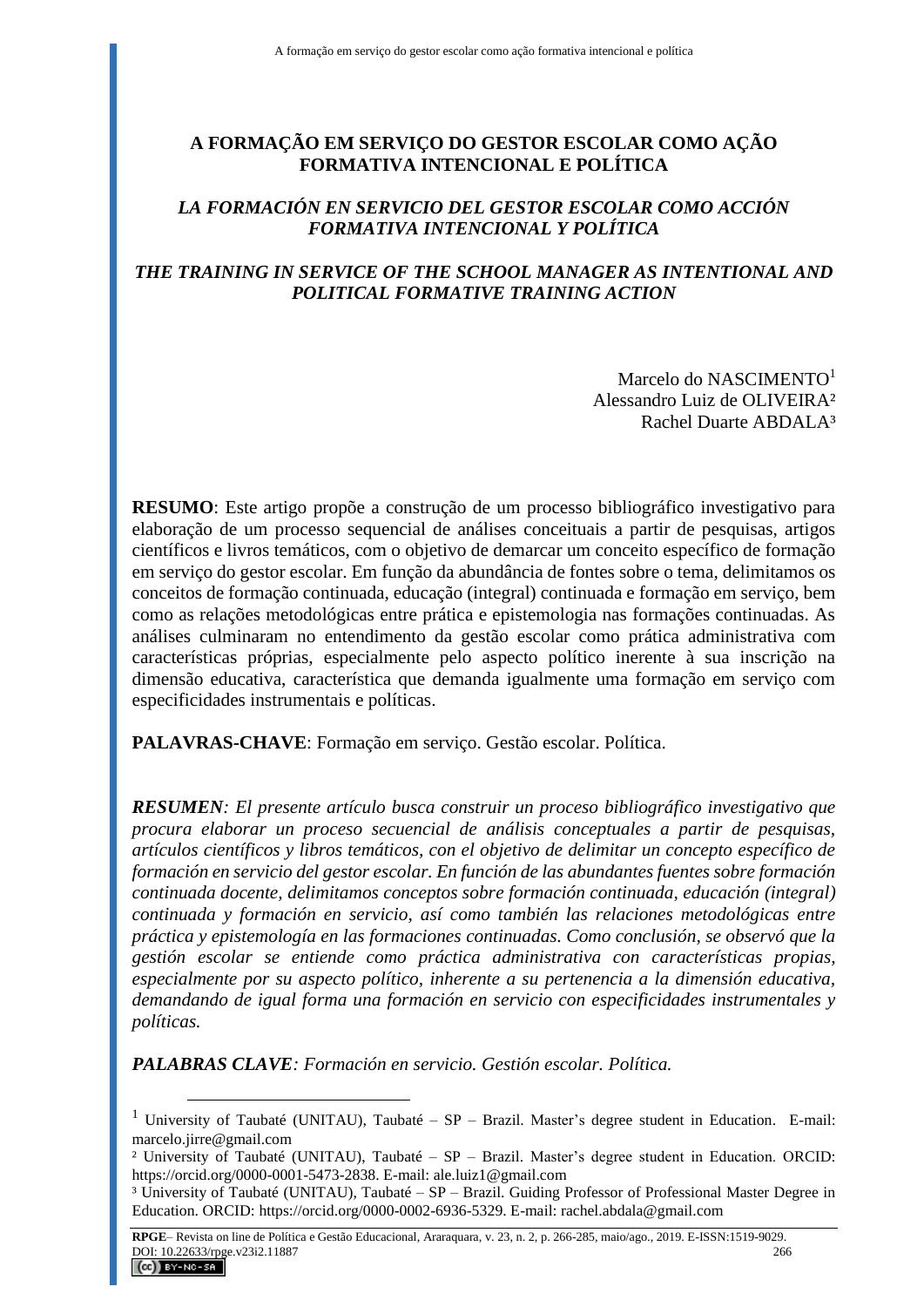# **A FORMAÇÃO EM SERVIÇO DO GESTOR ESCOLAR COMO AÇÃO FORMATIVA INTENCIONAL E POLÍTICA**

# *LA FORMACIÓN EN SERVICIO DEL GESTOR ESCOLAR COMO ACCIÓN FORMATIVA INTENCIONAL Y POLÍTICA*

# *THE TRAINING IN SERVICE OF THE SCHOOL MANAGER AS INTENTIONAL AND POLITICAL FORMATIVE TRAINING ACTION*

Marcelo do NASCIMENTO<sup>1</sup> Alessandro Luiz de OLIVEIRA² Rachel Duarte ABDALA³

**RESUMO**: Este artigo propõe a construção de um processo bibliográfico investigativo para elaboração de um processo sequencial de análises conceituais a partir de pesquisas, artigos científicos e livros temáticos, com o objetivo de demarcar um conceito específico de formação em serviço do gestor escolar. Em função da abundância de fontes sobre o tema, delimitamos os conceitos de formação continuada, educação (integral) continuada e formação em serviço, bem como as relações metodológicas entre prática e epistemologia nas formações continuadas. As análises culminaram no entendimento da gestão escolar como prática administrativa com características próprias, especialmente pelo aspecto político inerente à sua inscrição na dimensão educativa, característica que demanda igualmente uma formação em serviço com especificidades instrumentais e políticas.

**PALAVRAS-CHAVE**: Formação em serviço. Gestão escolar. Política.

*RESUMEN: El presente artículo busca construir un proceso bibliográfico investigativo que procura elaborar un proceso secuencial de análisis conceptuales a partir de pesquisas, artículos científicos y libros temáticos, con el objetivo de delimitar un concepto específico de formación en servicio del gestor escolar. En función de las abundantes fuentes sobre formación continuada docente, delimitamos conceptos sobre formación continuada, educación (integral) continuada y formación en servicio, así como también las relaciones metodológicas entre práctica y epistemología en las formaciones continuadas. Como conclusión, se observó que la gestión escolar se entiende como práctica administrativa con características propias, especialmente por su aspecto político, inherente a su pertenencia a la dimensión educativa, demandando de igual forma una formación en servicio con especificidades instrumentales y políticas.*

*PALABRAS CLAVE: Formación en servicio. Gestión escolar. Política.*

<sup>&</sup>lt;sup>1</sup> University of Taubaté (UNITAU), Taubaté – SP – Brazil. Master's degree student in Education. E-mail: [marcelo.jirre@gmail.com](mailto:marcelo.jirre@gmail.com)

² University of Taubaté (UNITAU), Taubaté – SP – Brazil. Master's degree student in Education. ORCID: https://orcid.org/0000-0001-5473-2838. E-mail: [ale.luiz1@gmail.com](mailto:ale.luiz1@gmail.com)

³ University of Taubaté (UNITAU), Taubaté – SP – Brazil. Guiding Professor of Professional Master Degree in Education. ORCID: https://orcid.org/0000-0002-6936-5329. E-mail[: rachel.abdala@gmail.com](mailto:rachel.abdala@gmail.com)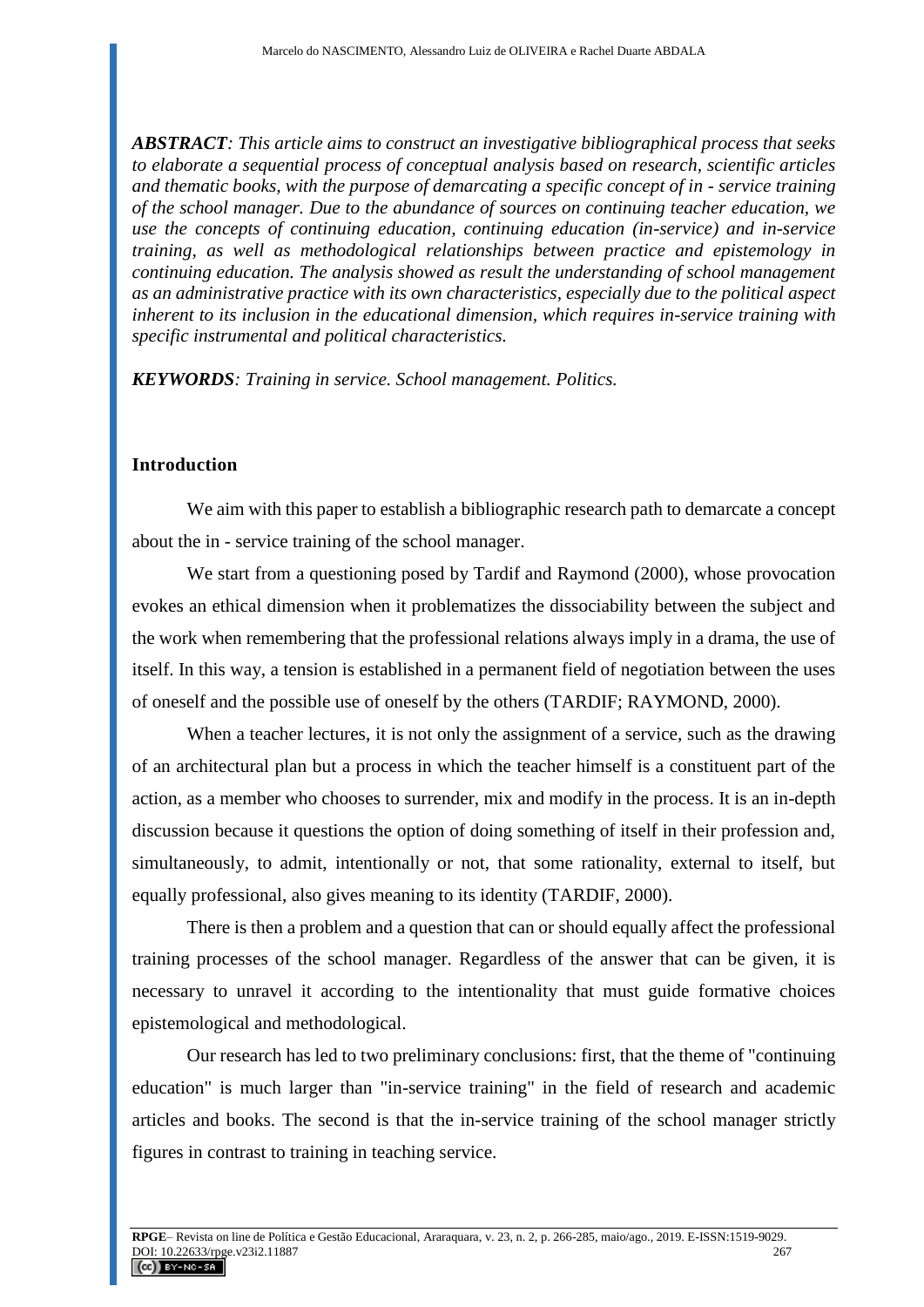*ABSTRACT: This article aims to construct an investigative bibliographical process that seeks to elaborate a sequential process of conceptual analysis based on research, scientific articles and thematic books, with the purpose of demarcating a specific concept of in - service training of the school manager. Due to the abundance of sources on continuing teacher education, we use the concepts of continuing education, continuing education (in-service) and in-service training, as well as methodological relationships between practice and epistemology in continuing education. The analysis showed as result the understanding of school management as an administrative practice with its own characteristics, especially due to the political aspect inherent to its inclusion in the educational dimension, which requires in-service training with specific instrumental and political characteristics.* 

*KEYWORDS: Training in service. School management. Politics.*

### **Introduction**

We aim with this paper to establish a bibliographic research path to demarcate a concept about the in - service training of the school manager.

We start from a questioning posed by Tardif and Raymond (2000), whose provocation evokes an ethical dimension when it problematizes the dissociability between the subject and the work when remembering that the professional relations always imply in a drama, the use of itself. In this way, a tension is established in a permanent field of negotiation between the uses of oneself and the possible use of oneself by the others (TARDIF; RAYMOND, 2000).

When a teacher lectures, it is not only the assignment of a service, such as the drawing of an architectural plan but a process in which the teacher himself is a constituent part of the action, as a member who chooses to surrender, mix and modify in the process. It is an in-depth discussion because it questions the option of doing something of itself in their profession and, simultaneously, to admit, intentionally or not, that some rationality, external to itself, but equally professional, also gives meaning to its identity (TARDIF, 2000).

There is then a problem and a question that can or should equally affect the professional training processes of the school manager. Regardless of the answer that can be given, it is necessary to unravel it according to the intentionality that must guide formative choices epistemological and methodological.

Our research has led to two preliminary conclusions: first, that the theme of "continuing education" is much larger than "in-service training" in the field of research and academic articles and books. The second is that the in-service training of the school manager strictly figures in contrast to training in teaching service.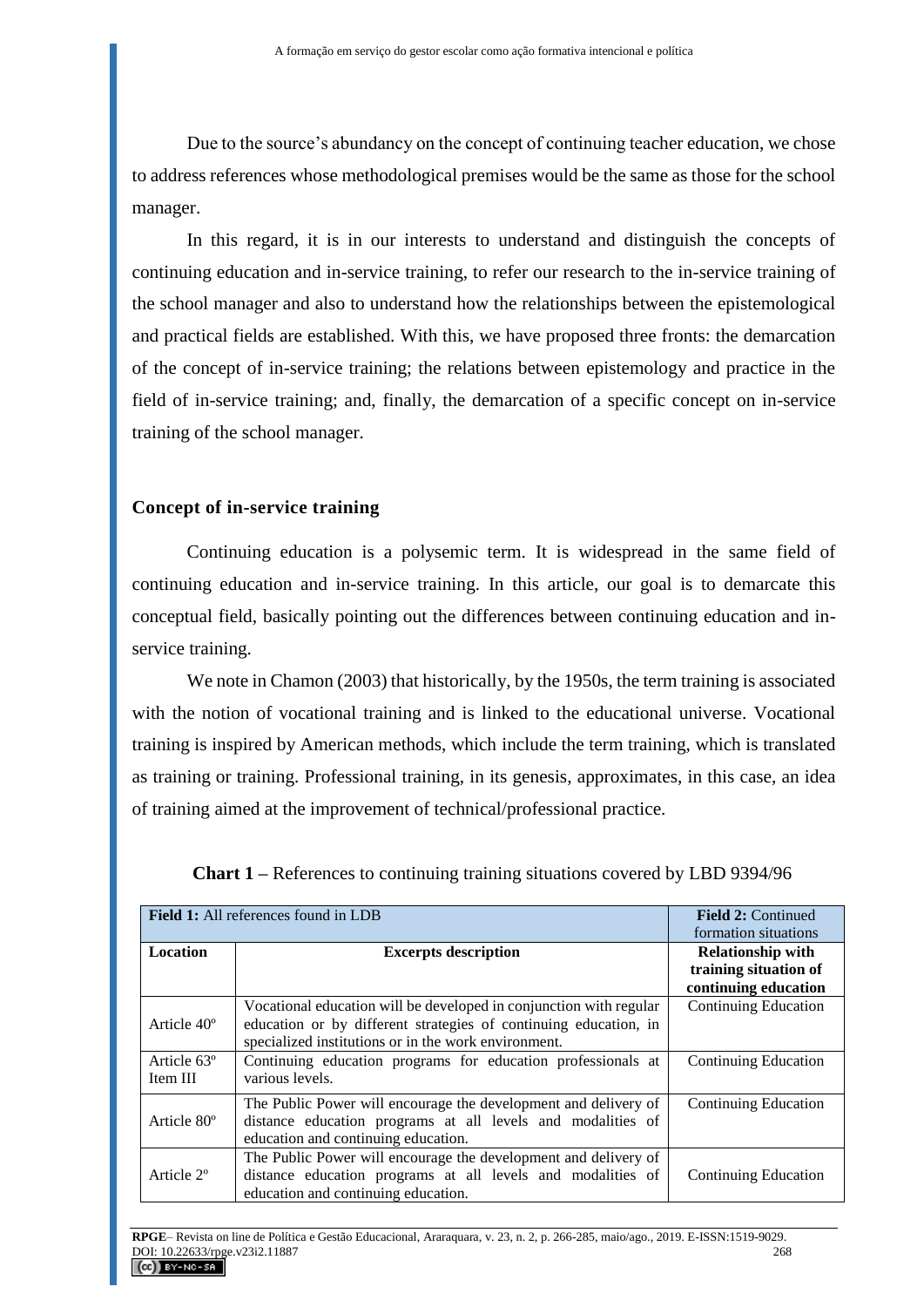Due to the source's abundancy on the concept of continuing teacher education, we chose to address references whose methodological premises would be the same as those for the school manager.

In this regard, it is in our interests to understand and distinguish the concepts of continuing education and in-service training, to refer our research to the in-service training of the school manager and also to understand how the relationships between the epistemological and practical fields are established. With this, we have proposed three fronts: the demarcation of the concept of in-service training; the relations between epistemology and practice in the field of in-service training; and, finally, the demarcation of a specific concept on in-service training of the school manager.

## **Concept of in-service training**

Continuing education is a polysemic term. It is widespread in the same field of continuing education and in-service training. In this article, our goal is to demarcate this conceptual field, basically pointing out the differences between continuing education and inservice training.

We note in Chamon (2003) that historically, by the 1950s, the term training is associated with the notion of vocational training and is linked to the educational universe. Vocational training is inspired by American methods, which include the term training, which is translated as training or training. Professional training, in its genesis, approximates, in this case, an idea of training aimed at the improvement of technical/professional practice.

|                                     | <b>Field 1:</b> All references found in LDB                                                                                                                                                    | <b>Field 2: Continued</b><br>formation situations                         |
|-------------------------------------|------------------------------------------------------------------------------------------------------------------------------------------------------------------------------------------------|---------------------------------------------------------------------------|
| <b>Location</b>                     | <b>Excerpts description</b>                                                                                                                                                                    | <b>Relationship with</b><br>training situation of<br>continuing education |
| Article 40 <sup>°</sup>             | Vocational education will be developed in conjunction with regular<br>education or by different strategies of continuing education, in<br>specialized institutions or in the work environment. | <b>Continuing Education</b>                                               |
| Article 63 <sup>°</sup><br>Item III | Continuing education programs for education professionals at<br>various levels.                                                                                                                | Continuing Education                                                      |
| Article 80 <sup>°</sup>             | The Public Power will encourage the development and delivery of<br>distance education programs at all levels and modalities of<br>education and continuing education.                          | <b>Continuing Education</b>                                               |
| Article 2 <sup>o</sup>              | The Public Power will encourage the development and delivery of<br>distance education programs at all levels and modalities of<br>education and continuing education.                          | <b>Continuing Education</b>                                               |

**Chart 1 –** References to continuing training situations covered by LBD 9394/96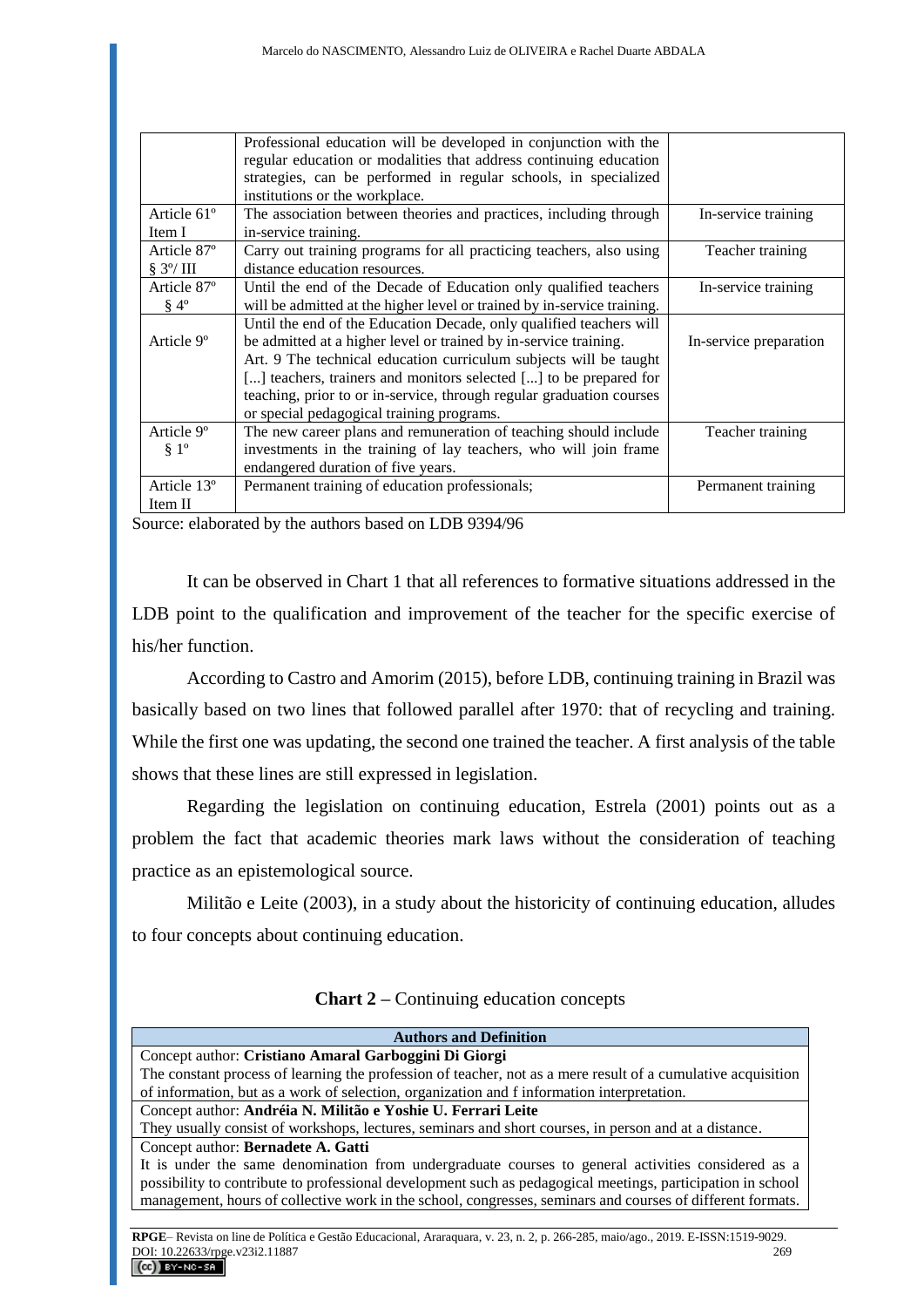|                         | Professional education will be developed in conjunction with the        |                        |
|-------------------------|-------------------------------------------------------------------------|------------------------|
|                         | regular education or modalities that address continuing education       |                        |
|                         | strategies, can be performed in regular schools, in specialized         |                        |
|                         | institutions or the workplace.                                          |                        |
| Article 61 <sup>°</sup> | The association between theories and practices, including through       | In-service training    |
| Item I                  | in-service training.                                                    |                        |
| Article 87°             | Carry out training programs for all practicing teachers, also using     | Teacher training       |
| $\S 3^{\circ}/$ III     | distance education resources.                                           |                        |
| Article 87°             | Until the end of the Decade of Education only qualified teachers        | In-service training    |
| $§$ 4°                  | will be admitted at the higher level or trained by in-service training. |                        |
|                         | Until the end of the Education Decade, only qualified teachers will     |                        |
| Article 9 <sup>o</sup>  | be admitted at a higher level or trained by in-service training.        | In-service preparation |
|                         | Art. 9 The technical education curriculum subjects will be taught       |                        |
|                         | [] teachers, trainers and monitors selected [] to be prepared for       |                        |
|                         | teaching, prior to or in-service, through regular graduation courses    |                        |
|                         | or special pedagogical training programs.                               |                        |
| Article 9 <sup>°</sup>  | The new career plans and remuneration of teaching should include        | Teacher training       |
| $§ 1^{\circ}$           | investments in the training of lay teachers, who will join frame        |                        |
|                         | endangered duration of five years.                                      |                        |
| Article 13°             | Permanent training of education professionals;                          | Permanent training     |
| Item II                 |                                                                         |                        |

Source: elaborated by the authors based on LDB 9394/96

It can be observed in Chart 1 that all references to formative situations addressed in the LDB point to the qualification and improvement of the teacher for the specific exercise of his/her function.

According to Castro and Amorim (2015), before LDB, continuing training in Brazil was basically based on two lines that followed parallel after 1970: that of recycling and training. While the first one was updating, the second one trained the teacher. A first analysis of the table shows that these lines are still expressed in legislation.

Regarding the legislation on continuing education, Estrela (2001) points out as a problem the fact that academic theories mark laws without the consideration of teaching practice as an epistemological source.

Militão e Leite (2003), in a study about the historicity of continuing education, alludes to four concepts about continuing education.

| <b>Authors and Definition</b>                                                                                                  |     |
|--------------------------------------------------------------------------------------------------------------------------------|-----|
| Concept author: Cristiano Amaral Garboggini Di Giorgi                                                                          |     |
| The constant process of learning the profession of teacher, not as a mere result of a cumulative acquisition                   |     |
| of information, but as a work of selection, organization and f information interpretation.                                     |     |
| Concept author: Andréia N. Militão e Yoshie U. Ferrari Leite                                                                   |     |
| They usually consist of workshops, lectures, seminars and short courses, in person and at a distance.                          |     |
| Concept author: Bernadete A. Gatti                                                                                             |     |
| It is under the same denomination from undergraduate courses to general activities considered as a                             |     |
| possibility to contribute to professional development such as pedagogical meetings, participation in school                    |     |
| management, hours of collective work in the school, congresses, seminars and courses of different formats.                     |     |
|                                                                                                                                |     |
| RPGE–Revista on line de Política e Gestão Educacional, Araraguara, v. 23, n. 2, p. 266-285, maio/ago., 2019. E-ISSN:1519-9029. |     |
| DOI: 10.22633/rpge.v23i2.11887                                                                                                 | 269 |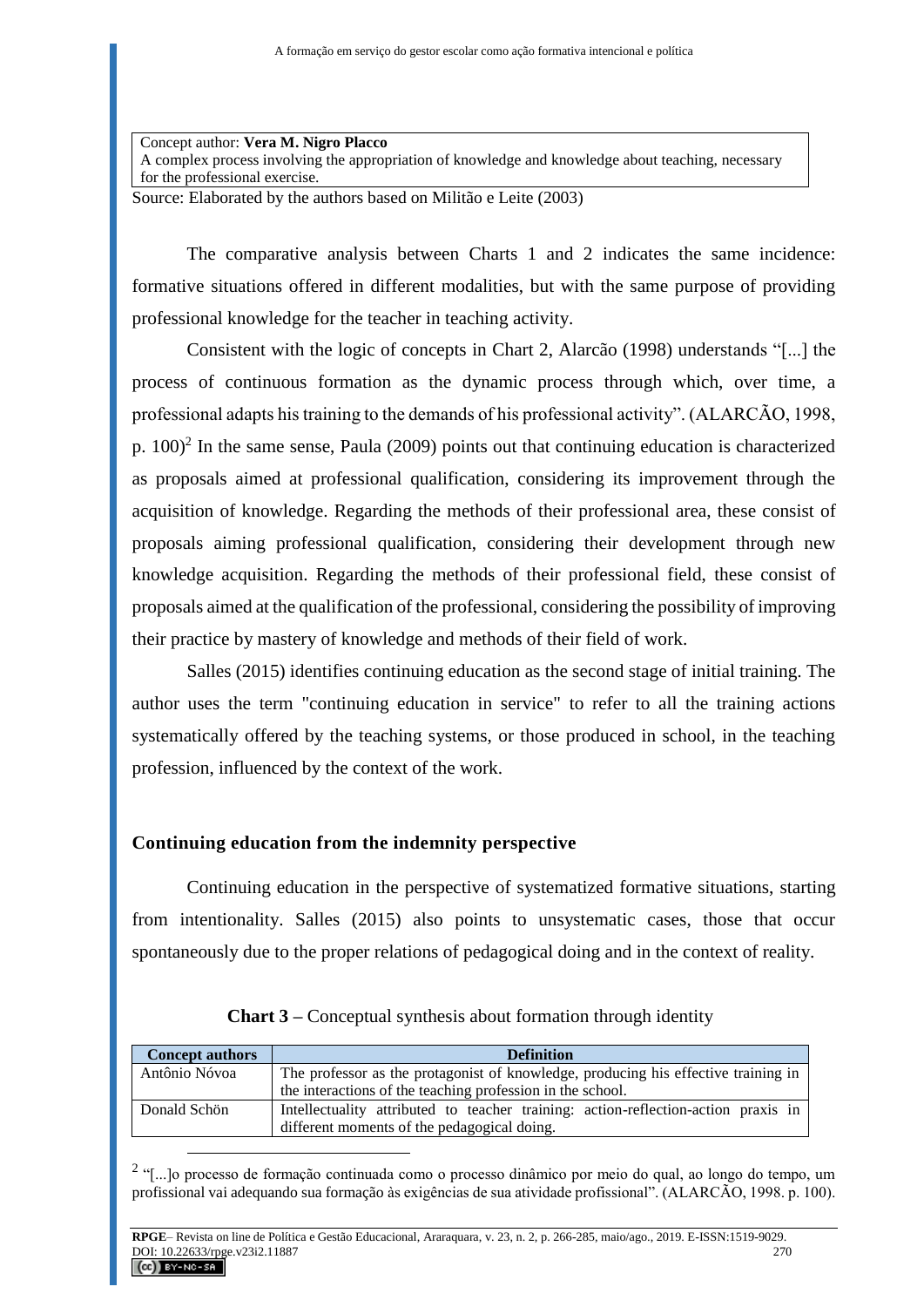Concept author: **Vera M. Nigro Placco** A complex process involving the appropriation of knowledge and knowledge about teaching, necessary for the professional exercise.

Source: Elaborated by the authors based on Militão e Leite (2003)

The comparative analysis between Charts 1 and 2 indicates the same incidence: formative situations offered in different modalities, but with the same purpose of providing professional knowledge for the teacher in teaching activity.

Consistent with the logic of concepts in Chart 2, Alarcão (1998) understands "[...] the process of continuous formation as the dynamic process through which, over time, a professional adapts his training to the demands of his professional activity". (ALARCÃO, 1998, p.  $100$ <sup>2</sup> In the same sense, Paula (2009) points out that continuing education is characterized as proposals aimed at professional qualification, considering its improvement through the acquisition of knowledge. Regarding the methods of their professional area, these consist of proposals aiming professional qualification, considering their development through new knowledge acquisition. Regarding the methods of their professional field, these consist of proposals aimed at the qualification of the professional, considering the possibility of improving their practice by mastery of knowledge and methods of their field of work.

Salles (2015) identifies continuing education as the second stage of initial training. The author uses the term "continuing education in service" to refer to all the training actions systematically offered by the teaching systems, or those produced in school, in the teaching profession, influenced by the context of the work.

## **Continuing education from the indemnity perspective**

 $\overline{a}$ 

Continuing education in the perspective of systematized formative situations, starting from intentionality. Salles (2015) also points to unsystematic cases, those that occur spontaneously due to the proper relations of pedagogical doing and in the context of reality.

| <b>Concept authors</b> | <b>Definition</b>                                                                                                                 |
|------------------------|-----------------------------------------------------------------------------------------------------------------------------------|
| Antônio Nóvoa          | The professor as the protagonist of knowledge, producing his effective training in                                                |
|                        | the interactions of the teaching profession in the school.                                                                        |
| Donald Schön           | Intellectuality attributed to teacher training: action-reflection-action praxis in<br>different moments of the pedagogical doing. |

| Chart 3 – Conceptual synthesis about formation through identity |  |  |  |  |
|-----------------------------------------------------------------|--|--|--|--|
|-----------------------------------------------------------------|--|--|--|--|

<sup>&</sup>lt;sup>2</sup> "[...]o processo de formação continuada como o processo dinâmico por meio do qual, ao longo do tempo, um profissional vai adequando sua formação às exigências de sua atividade profissional". (ALARCÃO, 1998. p. 100).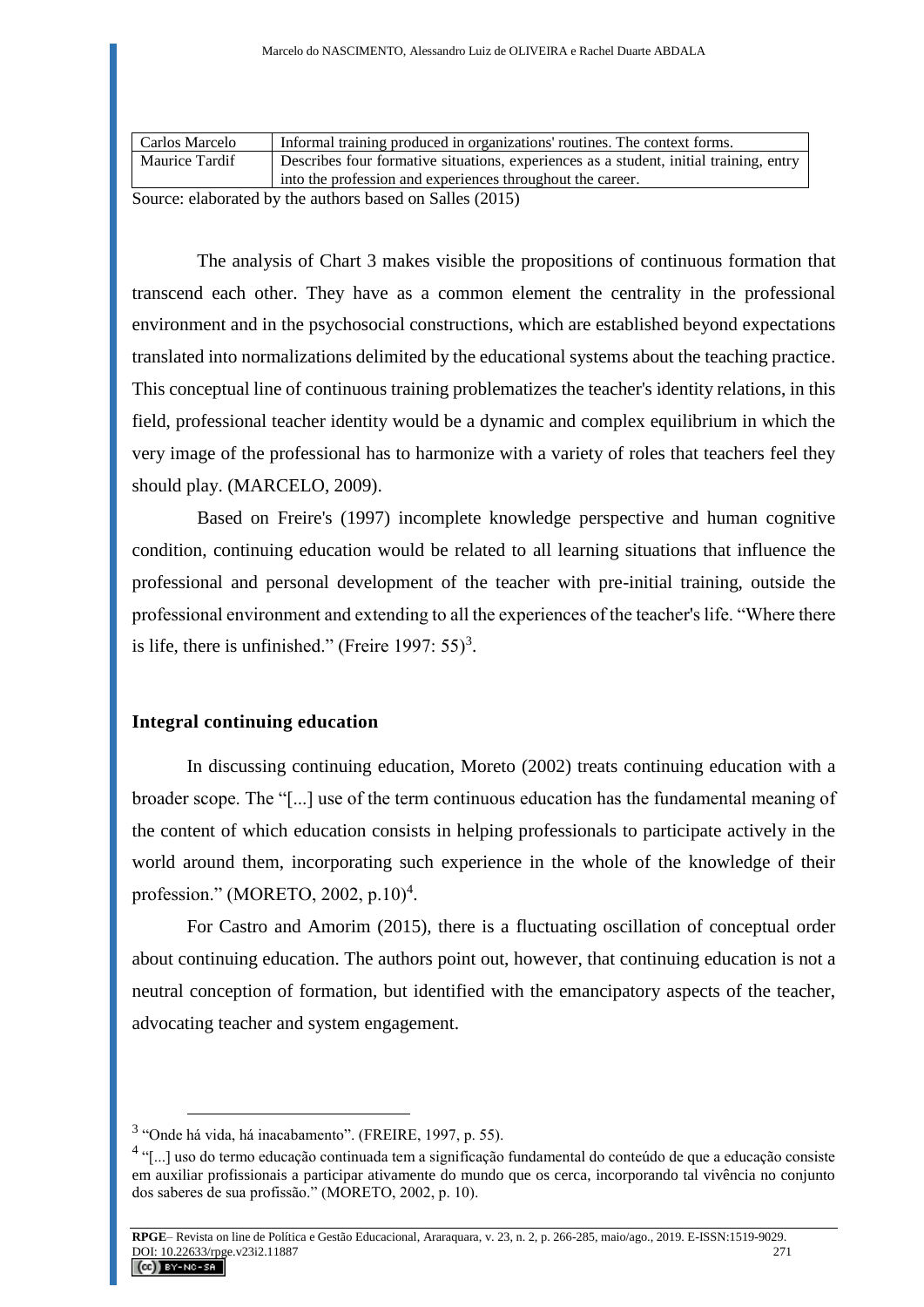| Carlos Marcelo | Informal training produced in organizations' routines. The context forms.              |
|----------------|----------------------------------------------------------------------------------------|
| Maurice Tardif | Describes four formative situations, experiences as a student, initial training, entry |
|                | into the profession and experiences throughout the career.                             |

Source: elaborated by the authors based on Salles (2015)

The analysis of Chart 3 makes visible the propositions of continuous formation that transcend each other. They have as a common element the centrality in the professional environment and in the psychosocial constructions, which are established beyond expectations translated into normalizations delimited by the educational systems about the teaching practice. This conceptual line of continuous training problematizes the teacher's identity relations, in this field, professional teacher identity would be a dynamic and complex equilibrium in which the very image of the professional has to harmonize with a variety of roles that teachers feel they should play. (MARCELO, 2009).

Based on Freire's (1997) incomplete knowledge perspective and human cognitive condition, continuing education would be related to all learning situations that influence the professional and personal development of the teacher with pre-initial training, outside the professional environment and extending to all the experiences of the teacher's life. "Where there is life, there is unfinished." (Freire 1997:  $55$ )<sup>3</sup>.

## **Integral continuing education**

In discussing continuing education, Moreto (2002) treats continuing education with a broader scope. The "[...] use of the term continuous education has the fundamental meaning of the content of which education consists in helping professionals to participate actively in the world around them, incorporating such experience in the whole of the knowledge of their profession." (MORETO, 2002, p.10)<sup>4</sup>.

For Castro and Amorim (2015), there is a fluctuating oscillation of conceptual order about continuing education. The authors point out, however, that continuing education is not a neutral conception of formation, but identified with the emancipatory aspects of the teacher, advocating teacher and system engagement.

<sup>&</sup>lt;sup>3</sup> "Onde há vida, há inacabamento". (FREIRE, 1997, p. 55).

<sup>&</sup>lt;sup>4</sup> "[...] uso do termo educação continuada tem a significação fundamental do conteúdo de que a educação consiste em auxiliar profissionais a participar ativamente do mundo que os cerca, incorporando tal vivência no conjunto dos saberes de sua profissão." (MORETO, 2002, p. 10).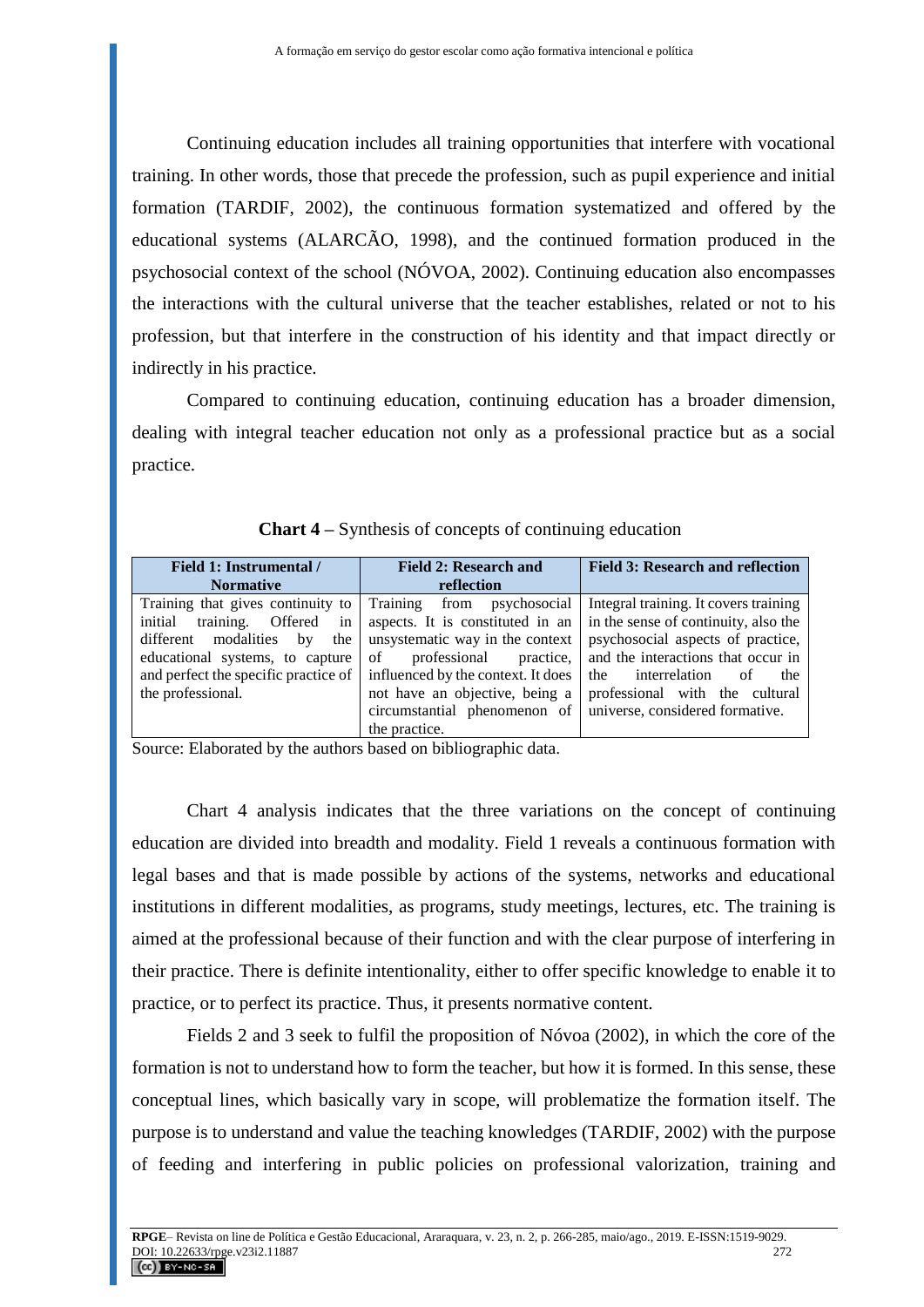Continuing education includes all training opportunities that interfere with vocational training. In other words, those that precede the profession, such as pupil experience and initial formation (TARDIF, 2002), the continuous formation systematized and offered by the educational systems (ALARCÃO, 1998), and the continued formation produced in the psychosocial context of the school (NÓVOA, 2002). Continuing education also encompasses the interactions with the cultural universe that the teacher establishes, related or not to his profession, but that interfere in the construction of his identity and that impact directly or indirectly in his practice.

Compared to continuing education, continuing education has a broader dimension, dealing with integral teacher education not only as a professional practice but as a social practice.

| Field 1: Instrumental /<br><b>Normative</b> | <b>Field 2: Research and</b><br>reflection                   | <b>Field 3: Research and reflection</b> |
|---------------------------------------------|--------------------------------------------------------------|-----------------------------------------|
| Training that gives continuity to           | Training from psychosocial                                   | Integral training. It covers training   |
| in<br>initial<br>training. Offered          | aspects. It is constituted in an                             | in the sense of continuity, also the    |
| modalities<br>the<br>different<br>by        | unsystematic way in the context                              | psychosocial aspects of practice,       |
| educational systems, to capture             | professional<br>practice,<br>$\circ$ f                       | and the interactions that occur in      |
| and perfect the specific practice of        | influenced by the context. It does                           | interrelation<br>the<br>of<br>the       |
| the professional.                           | not have an objective, being a                               | professional with the cultural          |
|                                             | circumstantial phenomenon of universe, considered formative. |                                         |
|                                             | the practice.                                                |                                         |

**Chart 4 –** Synthesis of concepts of continuing education

Source: Elaborated by the authors based on bibliographic data.

Chart 4 analysis indicates that the three variations on the concept of continuing education are divided into breadth and modality. Field 1 reveals a continuous formation with legal bases and that is made possible by actions of the systems, networks and educational institutions in different modalities, as programs, study meetings, lectures, etc. The training is aimed at the professional because of their function and with the clear purpose of interfering in their practice. There is definite intentionality, either to offer specific knowledge to enable it to practice, or to perfect its practice. Thus, it presents normative content.

Fields 2 and 3 seek to fulfil the proposition of Nóvoa (2002), in which the core of the formation is not to understand how to form the teacher, but how it is formed. In this sense, these conceptual lines, which basically vary in scope, will problematize the formation itself. The purpose is to understand and value the teaching knowledges (TARDIF, 2002) with the purpose of feeding and interfering in public policies on professional valorization, training and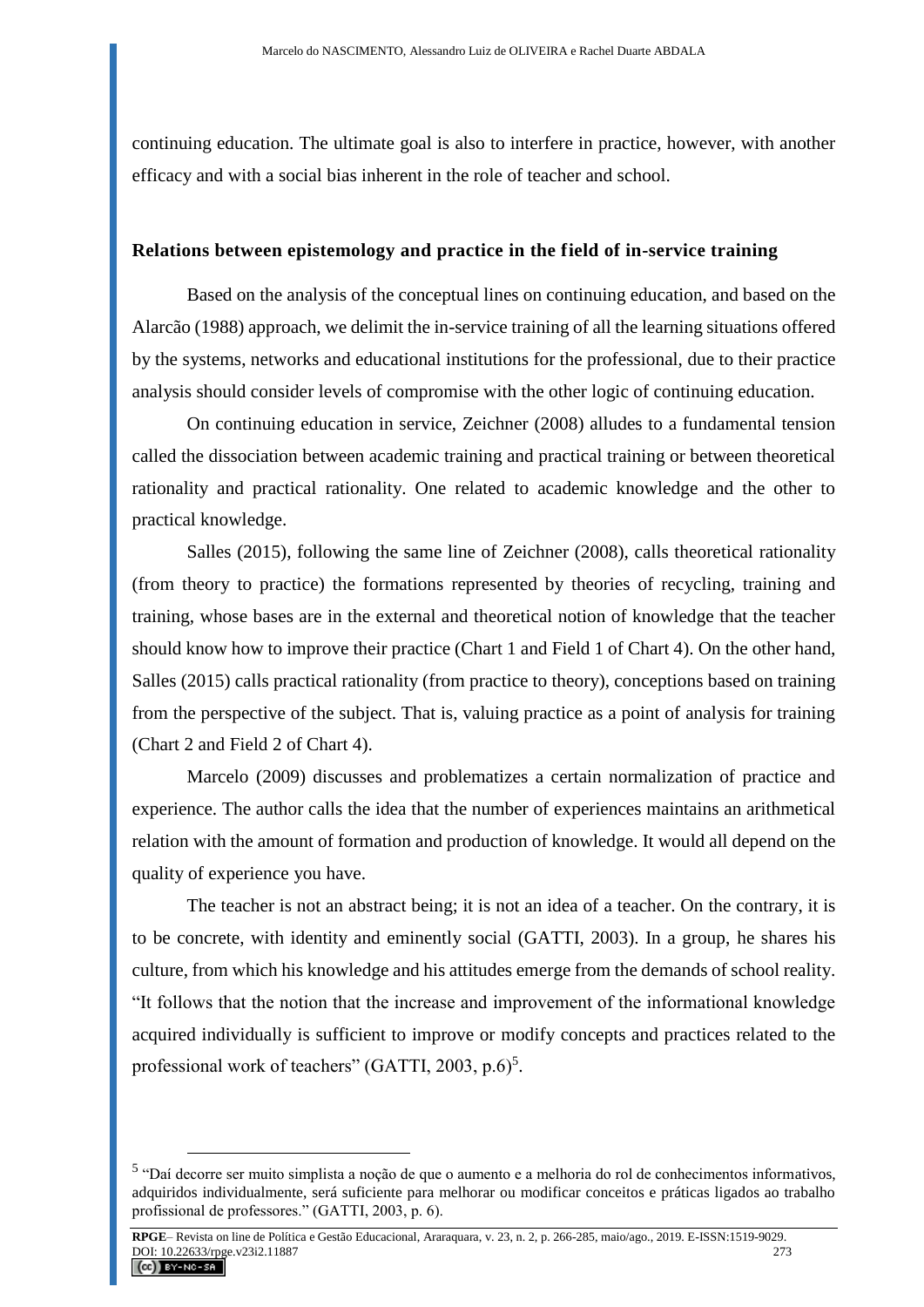continuing education. The ultimate goal is also to interfere in practice, however, with another efficacy and with a social bias inherent in the role of teacher and school.

### **Relations between epistemology and practice in the field of in-service training**

Based on the analysis of the conceptual lines on continuing education, and based on the Alarcão (1988) approach, we delimit the in-service training of all the learning situations offered by the systems, networks and educational institutions for the professional, due to their practice analysis should consider levels of compromise with the other logic of continuing education.

On continuing education in service, Zeichner (2008) alludes to a fundamental tension called the dissociation between academic training and practical training or between theoretical rationality and practical rationality. One related to academic knowledge and the other to practical knowledge.

Salles (2015), following the same line of Zeichner (2008), calls theoretical rationality (from theory to practice) the formations represented by theories of recycling, training and training, whose bases are in the external and theoretical notion of knowledge that the teacher should know how to improve their practice (Chart 1 and Field 1 of Chart 4). On the other hand, Salles (2015) calls practical rationality (from practice to theory), conceptions based on training from the perspective of the subject. That is, valuing practice as a point of analysis for training (Chart 2 and Field 2 of Chart 4).

Marcelo (2009) discusses and problematizes a certain normalization of practice and experience. The author calls the idea that the number of experiences maintains an arithmetical relation with the amount of formation and production of knowledge. It would all depend on the quality of experience you have.

The teacher is not an abstract being; it is not an idea of a teacher. On the contrary, it is to be concrete, with identity and eminently social (GATTI, 2003). In a group, he shares his culture, from which his knowledge and his attitudes emerge from the demands of school reality. "It follows that the notion that the increase and improvement of the informational knowledge acquired individually is sufficient to improve or modify concepts and practices related to the professional work of teachers" (GATTI, 2003, p.6)<sup>5</sup>.

<sup>5</sup> "Daí decorre ser muito simplista a noção de que o aumento e a melhoria do rol de conhecimentos informativos, adquiridos individualmente, será suficiente para melhorar ou modificar conceitos e práticas ligados ao trabalho profissional de professores." (GATTI, 2003, p. 6).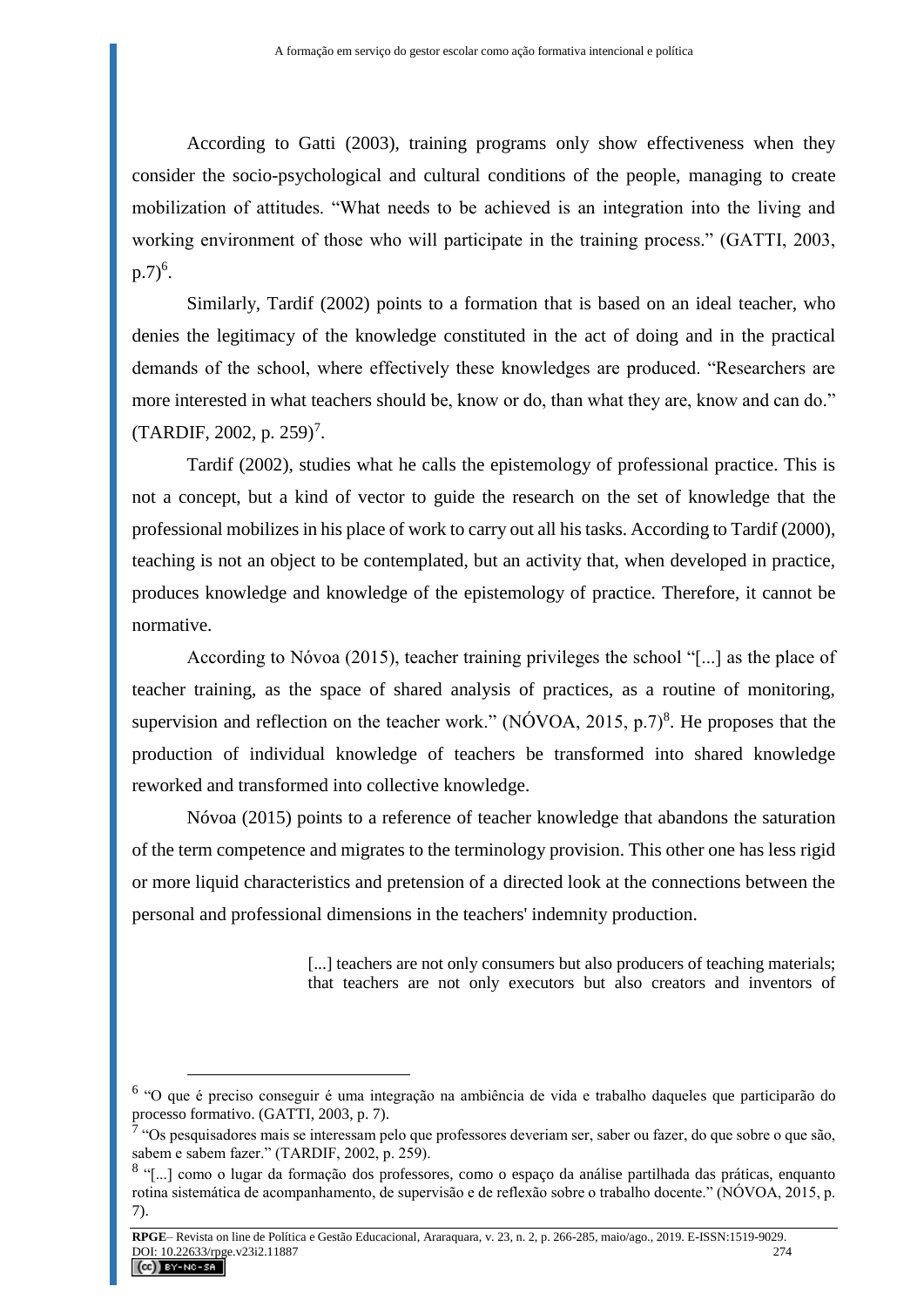According to Gatti (2003), training programs only show effectiveness when they consider the socio-psychological and cultural conditions of the people, managing to create mobilization of attitudes. "What needs to be achieved is an integration into the living and working environment of those who will participate in the training process." (GATTI, 2003,  $(p.7)^6$ .

Similarly, Tardif (2002) points to a formation that is based on an ideal teacher, who denies the legitimacy of the knowledge constituted in the act of doing and in the practical demands of the school, where effectively these knowledges are produced. "Researchers are more interested in what teachers should be, know or do, than what they are, know and can do."  $(TARDIF, 2002, p. 259)^7$ .

Tardif (2002), studies what he calls the epistemology of professional practice. This is not a concept, but a kind of vector to guide the research on the set of knowledge that the professional mobilizes in his place of work to carry out all his tasks. According to Tardif (2000), teaching is not an object to be contemplated, but an activity that, when developed in practice, produces knowledge and knowledge of the epistemology of practice. Therefore, it cannot be normative.

According to Nóvoa (2015), teacher training privileges the school "[...] as the place of teacher training, as the space of shared analysis of practices, as a routine of monitoring, supervision and reflection on the teacher work." (NÓVOA, 2015, p.7)<sup>8</sup>. He proposes that the production of individual knowledge of teachers be transformed into shared knowledge reworked and transformed into collective knowledge.

Nóvoa (2015) points to a reference of teacher knowledge that abandons the saturation of the term competence and migrates to the terminology provision. This other one has less rigid or more liquid characteristics and pretension of a directed look at the connections between the personal and professional dimensions in the teachers' indemnity production.

> [...] teachers are not only consumers but also producers of teaching materials; that teachers are not only executors but also creators and inventors of

<sup>6</sup> "O que é preciso conseguir é uma integração na ambiência de vida e trabalho daqueles que participarão do processo formativo. (GATTI, 2003, p. 7).

 $\bar{7}$  "Os pesquisadores mais se interessam pelo que professores deveriam ser, saber ou fazer, do que sobre o que são, sabem e sabem fazer." (TARDIF, 2002, p. 259).

<sup>&</sup>lt;sup>8</sup> "[...] como o lugar da formação dos professores, como o espaço da análise partilhada das práticas, enquanto rotina sistemática de acompanhamento, de supervisão e de reflexão sobre o trabalho docente." (NÓVOA, 2015, p. 7).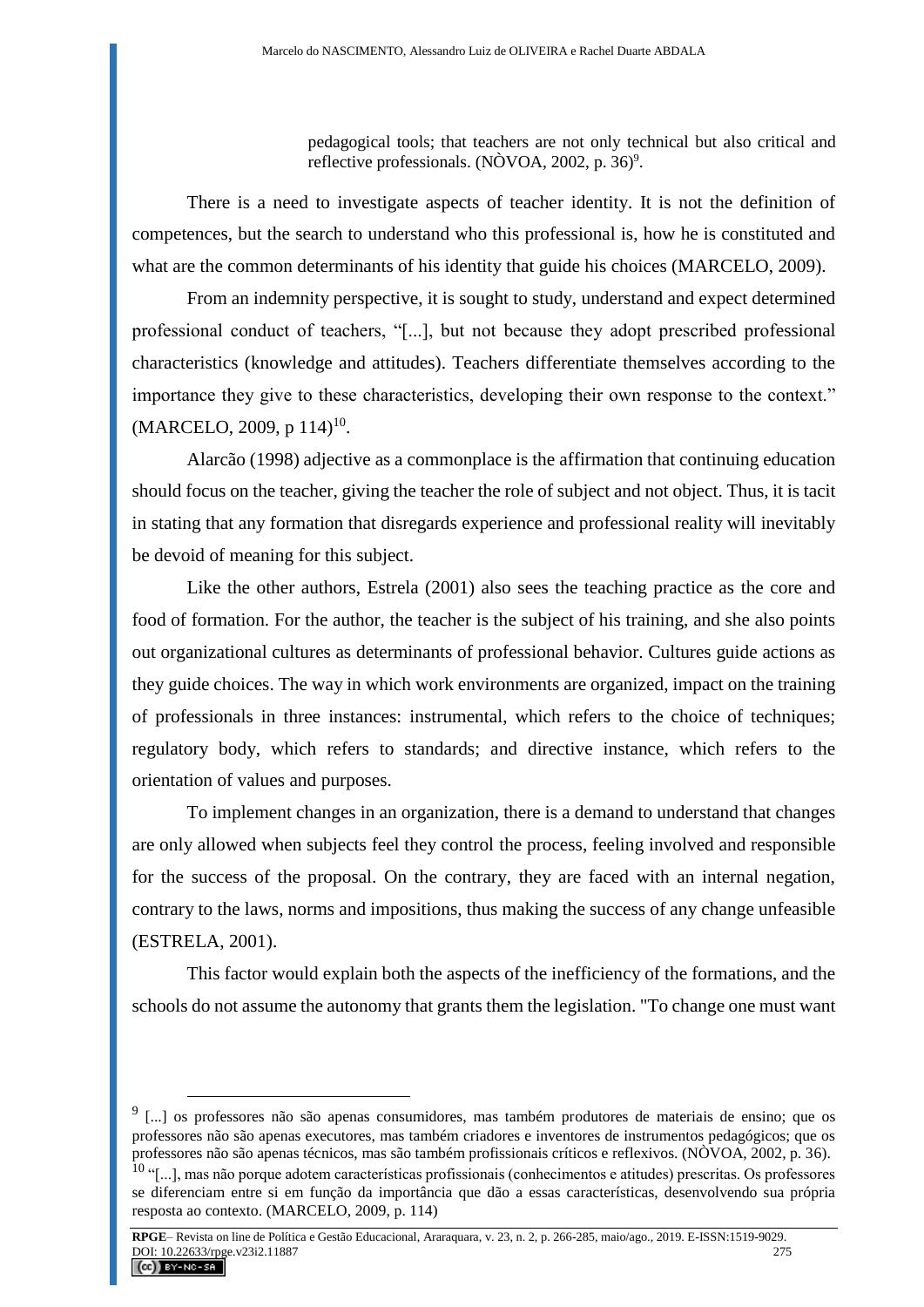pedagogical tools; that teachers are not only technical but also critical and reflective professionals. (NÒVOA, 2002, p. 36)<sup>9</sup>.

There is a need to investigate aspects of teacher identity. It is not the definition of competences, but the search to understand who this professional is, how he is constituted and what are the common determinants of his identity that guide his choices (MARCELO, 2009).

From an indemnity perspective, it is sought to study, understand and expect determined professional conduct of teachers, "[...], but not because they adopt prescribed professional characteristics (knowledge and attitudes). Teachers differentiate themselves according to the importance they give to these characteristics, developing their own response to the context."  $(MARCELO, 2009, p 114)^{10}$ .

Alarcão (1998) adjective as a commonplace is the affirmation that continuing education should focus on the teacher, giving the teacher the role of subject and not object. Thus, it is tacit in stating that any formation that disregards experience and professional reality will inevitably be devoid of meaning for this subject.

Like the other authors, Estrela (2001) also sees the teaching practice as the core and food of formation. For the author, the teacher is the subject of his training, and she also points out organizational cultures as determinants of professional behavior. Cultures guide actions as they guide choices. The way in which work environments are organized, impact on the training of professionals in three instances: instrumental, which refers to the choice of techniques; regulatory body, which refers to standards; and directive instance, which refers to the orientation of values and purposes.

To implement changes in an organization, there is a demand to understand that changes are only allowed when subjects feel they control the process, feeling involved and responsible for the success of the proposal. On the contrary, they are faced with an internal negation, contrary to the laws, norms and impositions, thus making the success of any change unfeasible (ESTRELA, 2001).

This factor would explain both the aspects of the inefficiency of the formations, and the schools do not assume the autonomy that grants them the legislation. "To change one must want

<sup>&</sup>lt;sup>9</sup> [...] os professores não são apenas consumidores, mas também produtores de materiais de ensino; que os professores não são apenas executores, mas também criadores e inventores de instrumentos pedagógicos; que os professores não são apenas técnicos, mas são também profissionais críticos e reflexivos. (NÒVOA, 2002, p. 36).

 $10$  "[...], mas não porque adotem características profissionais (conhecimentos e atitudes) prescritas. Os professores se diferenciam entre si em função da importância que dão a essas características, desenvolvendo sua própria resposta ao contexto. (MARCELO, 2009, p. 114)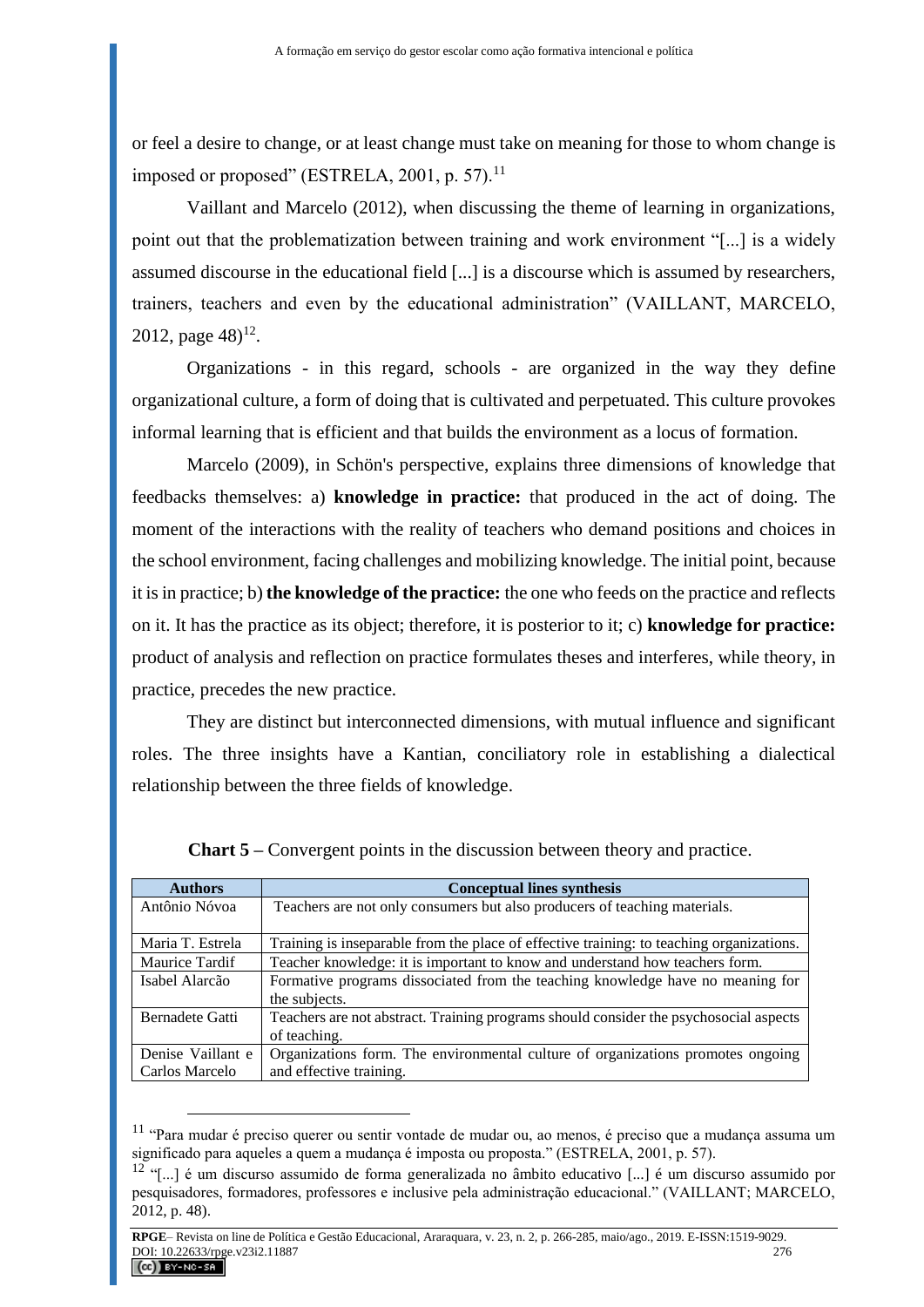or feel a desire to change, or at least change must take on meaning for those to whom change is imposed or proposed" (ESTRELA, 2001, p. 57). $^{11}$ 

Vaillant and Marcelo (2012), when discussing the theme of learning in organizations, point out that the problematization between training and work environment "[...] is a widely assumed discourse in the educational field [...] is a discourse which is assumed by researchers, trainers, teachers and even by the educational administration" (VAILLANT, MARCELO, 2012, page  $48$ <sup>12</sup>.

Organizations - in this regard, schools - are organized in the way they define organizational culture, a form of doing that is cultivated and perpetuated. This culture provokes informal learning that is efficient and that builds the environment as a locus of formation.

Marcelo (2009), in Schön's perspective, explains three dimensions of knowledge that feedbacks themselves: a) **knowledge in practice:** that produced in the act of doing. The moment of the interactions with the reality of teachers who demand positions and choices in the school environment, facing challenges and mobilizing knowledge. The initial point, because it is in practice; b) **the knowledge of the practice:** the one who feeds on the practice and reflects on it. It has the practice as its object; therefore, it is posterior to it; c) **knowledge for practice:** product of analysis and reflection on practice formulates theses and interferes, while theory, in practice, precedes the new practice.

They are distinct but interconnected dimensions, with mutual influence and significant roles. The three insights have a Kantian, conciliatory role in establishing a dialectical relationship between the three fields of knowledge.

| <b>Authors</b>    | <b>Conceptual lines synthesis</b>                                                        |
|-------------------|------------------------------------------------------------------------------------------|
| Antônio Nóvoa     | Teachers are not only consumers but also producers of teaching materials.                |
|                   |                                                                                          |
| Maria T. Estrela  | Training is inseparable from the place of effective training: to teaching organizations. |
| Maurice Tardif    | Teacher knowledge: it is important to know and understand how teachers form.             |
| Isabel Alarcão    | Formative programs dissociated from the teaching knowledge have no meaning for           |
|                   | the subjects.                                                                            |
| Bernadete Gatti   | Teachers are not abstract. Training programs should consider the psychosocial aspects    |
|                   | of teaching.                                                                             |
| Denise Vaillant e | Organizations form. The environmental culture of organizations promotes ongoing          |
| Carlos Marcelo    | and effective training.                                                                  |

**Chart 5 –** Convergent points in the discussion between theory and practice.

<sup>11</sup> "Para mudar é preciso querer ou sentir vontade de mudar ou, ao menos, é preciso que a mudança assuma um significado para aqueles a quem a mudança é imposta ou proposta." (ESTRELA, 2001, p. 57).

<sup>&</sup>lt;sup>12</sup> "[...] é um discurso assumido de forma generalizada no âmbito educativo [...] é um discurso assumido por pesquisadores, formadores, professores e inclusive pela administração educacional." (VAILLANT; MARCELO, 2012, p. 48).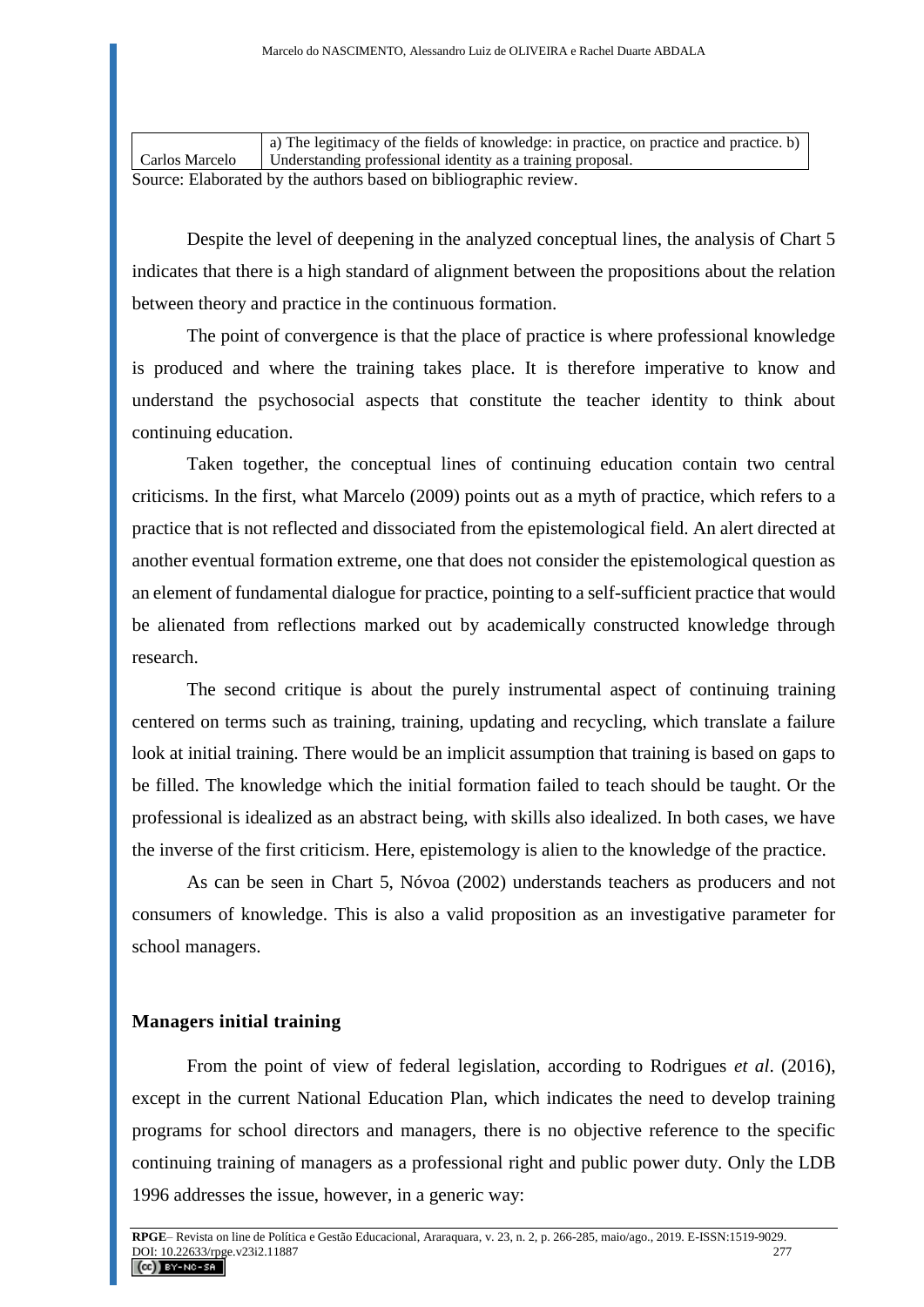|                                                                  | a) The legitimacy of the fields of knowledge: in practice, on practice and practice. b) |  |
|------------------------------------------------------------------|-----------------------------------------------------------------------------------------|--|
| Carlos Marcelo                                                   | Understanding professional identity as a training proposal.                             |  |
| Source: Elaborated by the authors based on bibliographic review. |                                                                                         |  |

Despite the level of deepening in the analyzed conceptual lines, the analysis of Chart 5 indicates that there is a high standard of alignment between the propositions about the relation between theory and practice in the continuous formation.

The point of convergence is that the place of practice is where professional knowledge is produced and where the training takes place. It is therefore imperative to know and understand the psychosocial aspects that constitute the teacher identity to think about continuing education.

Taken together, the conceptual lines of continuing education contain two central criticisms. In the first, what Marcelo (2009) points out as a myth of practice, which refers to a practice that is not reflected and dissociated from the epistemological field. An alert directed at another eventual formation extreme, one that does not consider the epistemological question as an element of fundamental dialogue for practice, pointing to a self-sufficient practice that would be alienated from reflections marked out by academically constructed knowledge through research.

The second critique is about the purely instrumental aspect of continuing training centered on terms such as training, training, updating and recycling, which translate a failure look at initial training. There would be an implicit assumption that training is based on gaps to be filled. The knowledge which the initial formation failed to teach should be taught. Or the professional is idealized as an abstract being, with skills also idealized. In both cases, we have the inverse of the first criticism. Here, epistemology is alien to the knowledge of the practice.

As can be seen in Chart 5, Nóvoa (2002) understands teachers as producers and not consumers of knowledge. This is also a valid proposition as an investigative parameter for school managers.

### **Managers initial training**

From the point of view of federal legislation, according to Rodrigues *et al*. (2016), except in the current National Education Plan, which indicates the need to develop training programs for school directors and managers, there is no objective reference to the specific continuing training of managers as a professional right and public power duty. Only the LDB 1996 addresses the issue, however, in a generic way: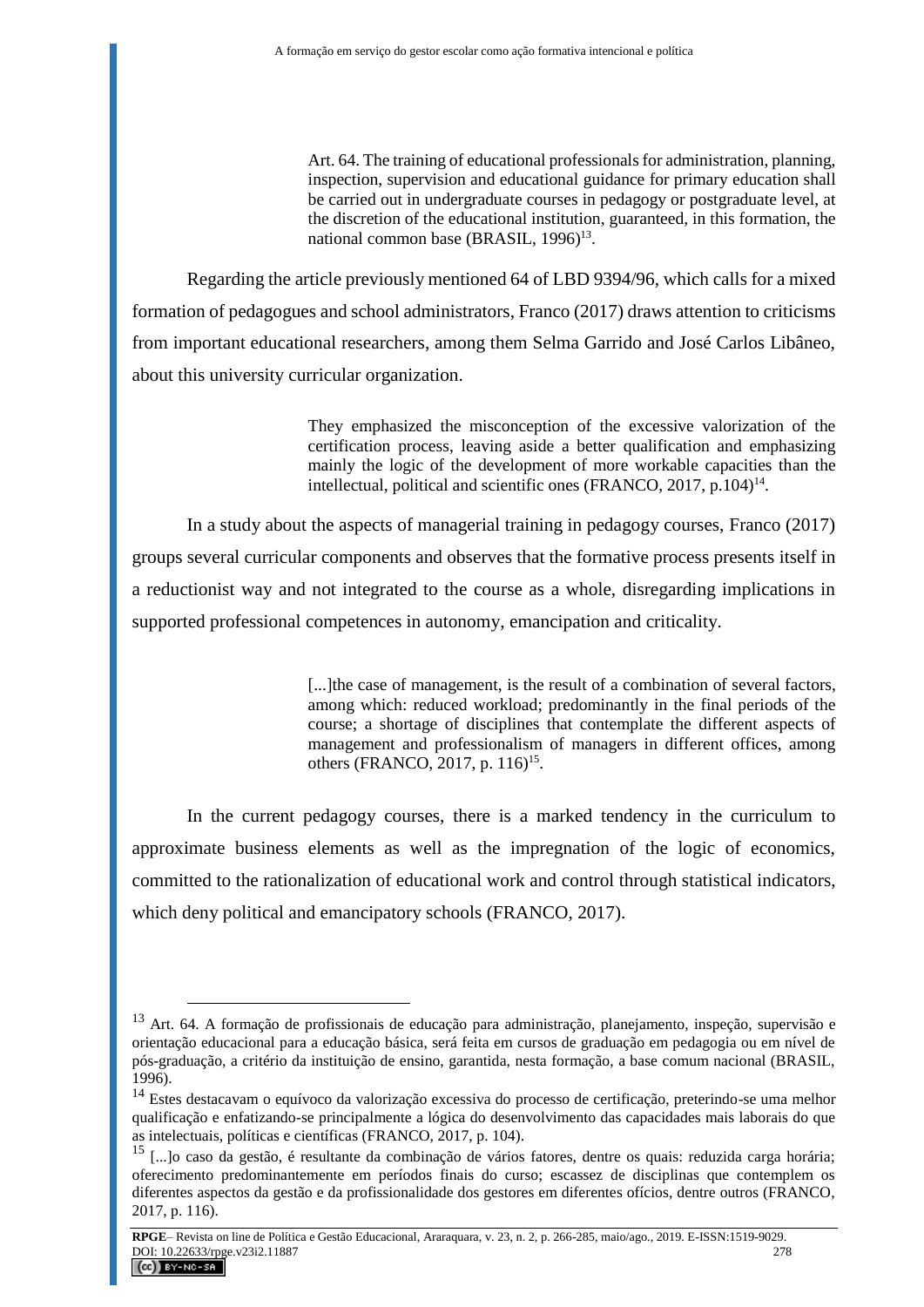Art. 64. The training of educational professionals for administration, planning, inspection, supervision and educational guidance for primary education shall be carried out in undergraduate courses in pedagogy or postgraduate level, at the discretion of the educational institution, guaranteed, in this formation, the national common base (BRASIL, 1996)<sup>13</sup>.

Regarding the article previously mentioned 64 of LBD 9394/96, which calls for a mixed formation of pedagogues and school administrators, Franco (2017) draws attention to criticisms from important educational researchers, among them Selma Garrido and José Carlos Libâneo, about this university curricular organization.

> They emphasized the misconception of the excessive valorization of the certification process, leaving aside a better qualification and emphasizing mainly the logic of the development of more workable capacities than the intellectual, political and scientific ones (FRANCO, 2017, p.104)<sup>14</sup>.

In a study about the aspects of managerial training in pedagogy courses, Franco (2017) groups several curricular components and observes that the formative process presents itself in a reductionist way and not integrated to the course as a whole, disregarding implications in supported professional competences in autonomy, emancipation and criticality.

> [...] the case of management, is the result of a combination of several factors, among which: reduced workload; predominantly in the final periods of the course; a shortage of disciplines that contemplate the different aspects of management and professionalism of managers in different offices, among others (FRANCO, 2017, p. 116)<sup>15</sup>.

In the current pedagogy courses, there is a marked tendency in the curriculum to approximate business elements as well as the impregnation of the logic of economics, committed to the rationalization of educational work and control through statistical indicators, which deny political and emancipatory schools (FRANCO, 2017).

<sup>13</sup> Art. 64. A formação de profissionais de educação para administração, planejamento, inspeção, supervisão e orientação educacional para a educação básica, será feita em cursos de graduação em pedagogia ou em nível de pós-graduação, a critério da instituição de ensino, garantida, nesta formação, a base comum nacional (BRASIL,  $1996$ ).

<sup>14</sup> Estes destacavam o equívoco da valorização excessiva do processo de certificação, preterindo-se uma melhor qualificação e enfatizando-se principalmente a lógica do desenvolvimento das capacidades mais laborais do que as intelectuais, políticas e científicas (FRANCO, 2017, p. 104).

<sup>15</sup> [...]o caso da gestão, é resultante da combinação de vários fatores, dentre os quais: reduzida carga horária; oferecimento predominantemente em períodos finais do curso; escassez de disciplinas que contemplem os diferentes aspectos da gestão e da profissionalidade dos gestores em diferentes ofícios, dentre outros (FRANCO, 2017, p. 116).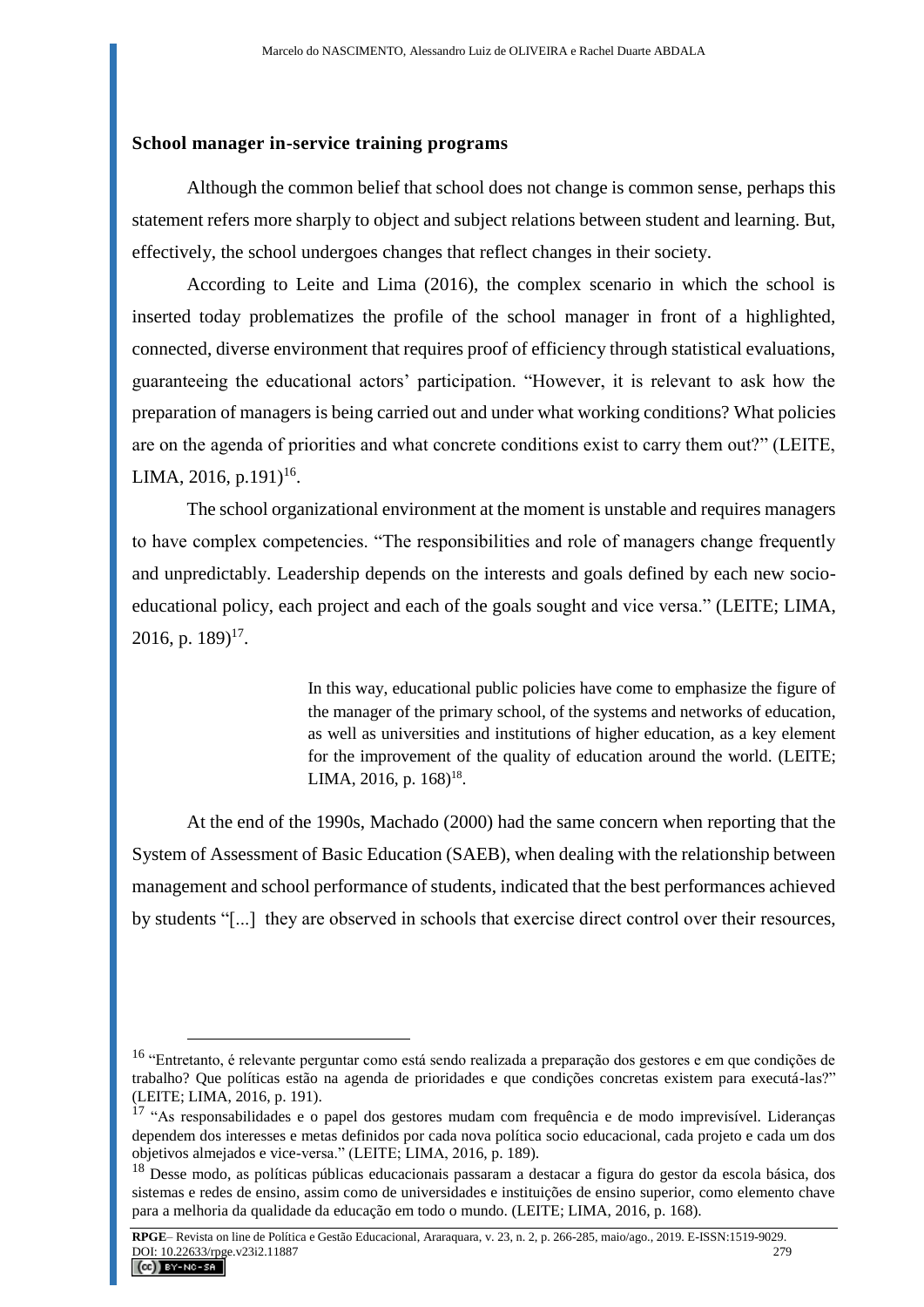### **School manager in-service training programs**

Although the common belief that school does not change is common sense, perhaps this statement refers more sharply to object and subject relations between student and learning. But, effectively, the school undergoes changes that reflect changes in their society.

According to Leite and Lima (2016), the complex scenario in which the school is inserted today problematizes the profile of the school manager in front of a highlighted, connected, diverse environment that requires proof of efficiency through statistical evaluations, guaranteeing the educational actors' participation. "However, it is relevant to ask how the preparation of managers is being carried out and under what working conditions? What policies are on the agenda of priorities and what concrete conditions exist to carry them out?" (LEITE, LIMA, 2016, p.191)<sup>16</sup>.

The school organizational environment at the moment is unstable and requires managers to have complex competencies. "The responsibilities and role of managers change frequently and unpredictably. Leadership depends on the interests and goals defined by each new socioeducational policy, each project and each of the goals sought and vice versa." (LEITE; LIMA, 2016, p.  $189)^{17}$ .

> In this way, educational public policies have come to emphasize the figure of the manager of the primary school, of the systems and networks of education, as well as universities and institutions of higher education, as a key element for the improvement of the quality of education around the world. (LEITE; LIMA, 2016, p.  $168$ <sup>18</sup>.

At the end of the 1990s, Machado (2000) had the same concern when reporting that the System of Assessment of Basic Education (SAEB), when dealing with the relationship between management and school performance of students, indicated that the best performances achieved by students "[...] they are observed in schools that exercise direct control over their resources,

<sup>&</sup>lt;sup>16</sup> "Entretanto, é relevante perguntar como está sendo realizada a preparação dos gestores e em que condições de trabalho? Que políticas estão na agenda de prioridades e que condições concretas existem para executá-las?" (LEITE; LIMA, 2016, p. 191).

<sup>&</sup>lt;sup>17</sup> "As responsabilidades e o papel dos gestores mudam com frequência e de modo imprevisível. Lideranças dependem dos interesses e metas definidos por cada nova política socio educacional, cada projeto e cada um dos objetivos almejados e vice-versa." (LEITE; LIMA, 2016, p. 189).

<sup>18</sup> Desse modo, as políticas públicas educacionais passaram a destacar a figura do gestor da escola básica, dos sistemas e redes de ensino, assim como de universidades e instituições de ensino superior, como elemento chave para a melhoria da qualidade da educação em todo o mundo. (LEITE; LIMA, 2016, p. 168).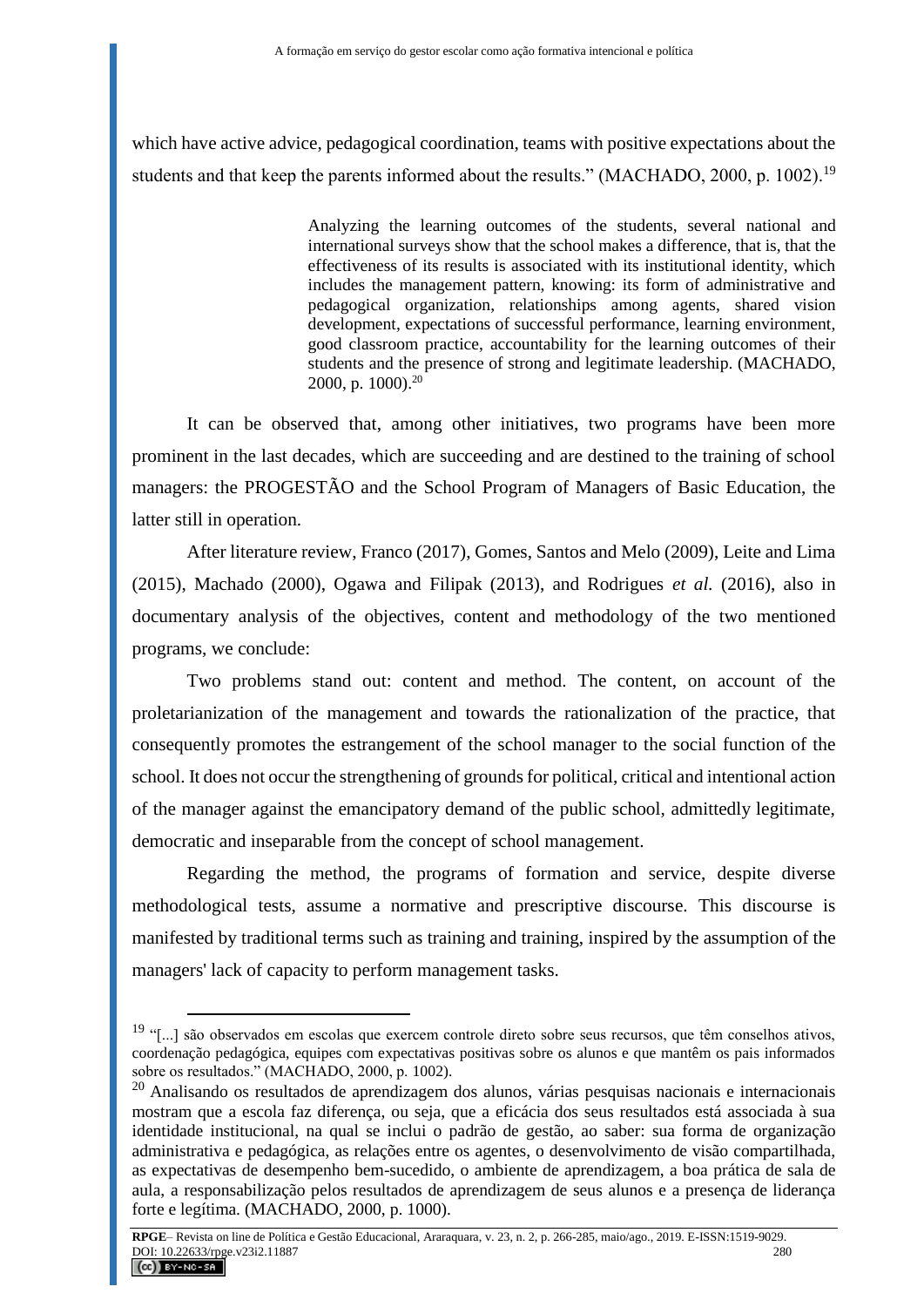which have active advice, pedagogical coordination, teams with positive expectations about the students and that keep the parents informed about the results." (MACHADO, 2000, p. 1002).<sup>19</sup>

> Analyzing the learning outcomes of the students, several national and international surveys show that the school makes a difference, that is, that the effectiveness of its results is associated with its institutional identity, which includes the management pattern, knowing: its form of administrative and pedagogical organization, relationships among agents, shared vision development, expectations of successful performance, learning environment, good classroom practice, accountability for the learning outcomes of their students and the presence of strong and legitimate leadership. (MACHADO, 2000, p. 1000).<sup>20</sup>

It can be observed that, among other initiatives, two programs have been more prominent in the last decades, which are succeeding and are destined to the training of school managers: the PROGESTÃO and the School Program of Managers of Basic Education, the latter still in operation.

After literature review, Franco (2017), Gomes, Santos and Melo (2009), Leite and Lima (2015), Machado (2000), Ogawa and Filipak (2013), and Rodrigues *et al.* (2016), also in documentary analysis of the objectives, content and methodology of the two mentioned programs, we conclude:

Two problems stand out: content and method. The content, on account of the proletarianization of the management and towards the rationalization of the practice, that consequently promotes the estrangement of the school manager to the social function of the school. It does not occur the strengthening of grounds for political, critical and intentional action of the manager against the emancipatory demand of the public school, admittedly legitimate, democratic and inseparable from the concept of school management.

Regarding the method, the programs of formation and service, despite diverse methodological tests, assume a normative and prescriptive discourse. This discourse is manifested by traditional terms such as training and training, inspired by the assumption of the managers' lack of capacity to perform management tasks.

<sup>&</sup>lt;sup>19</sup> "[...] são observados em escolas que exercem controle direto sobre seus recursos, que têm conselhos ativos, coordenação pedagógica, equipes com expectativas positivas sobre os alunos e que mantêm os pais informados sobre os resultados." (MACHADO, 2000, p. 1002).

<sup>&</sup>lt;sup>20</sup> Analisando os resultados de aprendizagem dos alunos, várias pesquisas nacionais e internacionais mostram que a escola faz diferença, ou seja, que a eficácia dos seus resultados está associada à sua identidade institucional, na qual se inclui o padrão de gestão, ao saber: sua forma de organização administrativa e pedagógica, as relações entre os agentes, o desenvolvimento de visão compartilhada, as expectativas de desempenho bem-sucedido, o ambiente de aprendizagem, a boa prática de sala de aula, a responsabilização pelos resultados de aprendizagem de seus alunos e a presença de liderança forte e legítima. (MACHADO, 2000, p. 1000).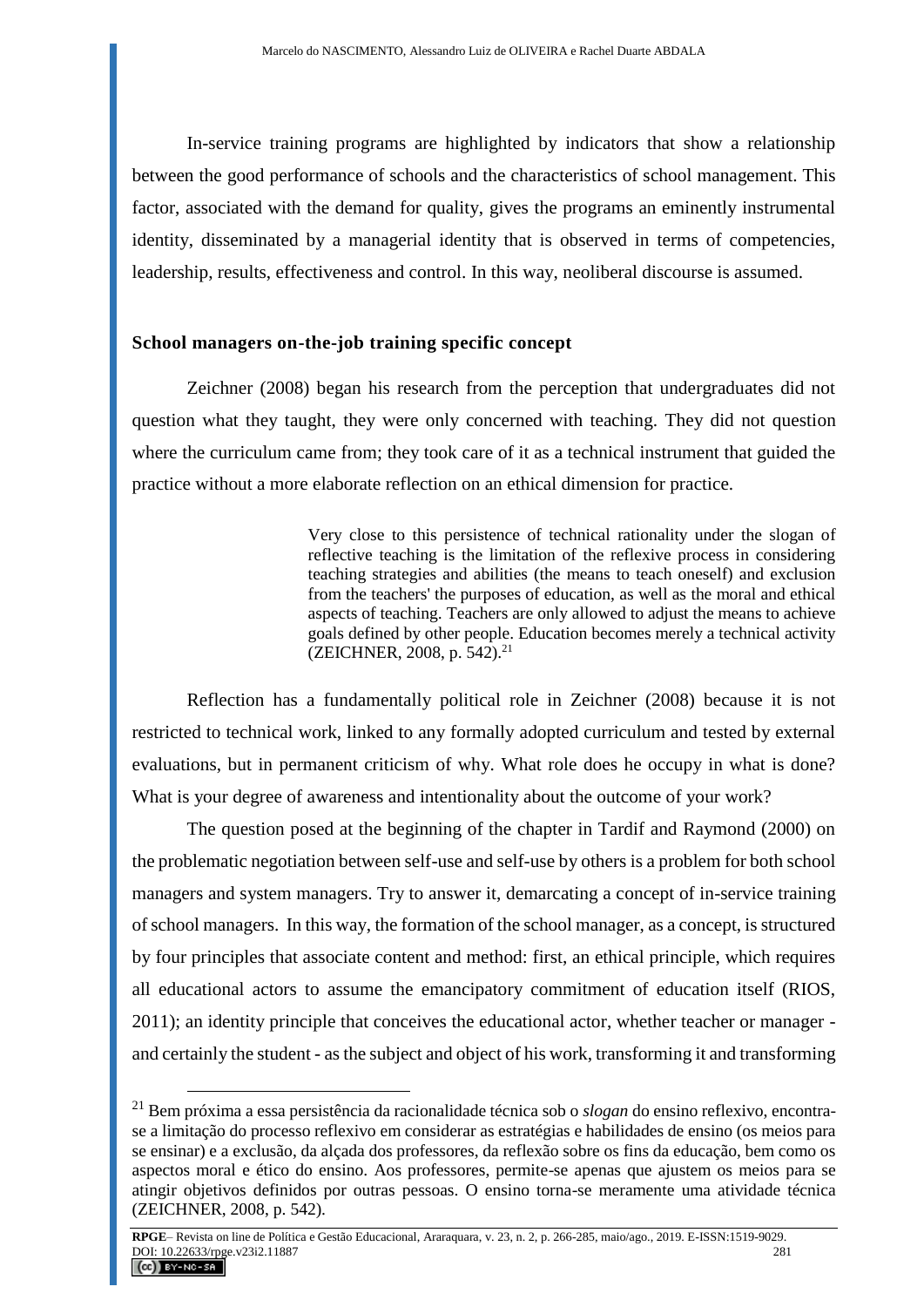In-service training programs are highlighted by indicators that show a relationship between the good performance of schools and the characteristics of school management. This factor, associated with the demand for quality, gives the programs an eminently instrumental identity, disseminated by a managerial identity that is observed in terms of competencies, leadership, results, effectiveness and control. In this way, neoliberal discourse is assumed.

### **School managers on-the-job training specific concept**

Zeichner (2008) began his research from the perception that undergraduates did not question what they taught, they were only concerned with teaching. They did not question where the curriculum came from; they took care of it as a technical instrument that guided the practice without a more elaborate reflection on an ethical dimension for practice.

> Very close to this persistence of technical rationality under the slogan of reflective teaching is the limitation of the reflexive process in considering teaching strategies and abilities (the means to teach oneself) and exclusion from the teachers' the purposes of education, as well as the moral and ethical aspects of teaching. Teachers are only allowed to adjust the means to achieve goals defined by other people. Education becomes merely a technical activity (ZEICHNER, 2008, p. 542).<sup>21</sup>

Reflection has a fundamentally political role in Zeichner (2008) because it is not restricted to technical work, linked to any formally adopted curriculum and tested by external evaluations, but in permanent criticism of why. What role does he occupy in what is done? What is your degree of awareness and intentionality about the outcome of your work?

The question posed at the beginning of the chapter in Tardif and Raymond (2000) on the problematic negotiation between self-use and self-use by others is a problem for both school managers and system managers. Try to answer it, demarcating a concept of in-service training of school managers. In this way, the formation of the school manager, as a concept, is structured by four principles that associate content and method: first, an ethical principle, which requires all educational actors to assume the emancipatory commitment of education itself (RIOS, 2011); an identity principle that conceives the educational actor, whether teacher or manager and certainly the student - as the subject and object of his work, transforming it and transforming

<sup>21</sup> Bem próxima a essa persistência da racionalidade técnica sob o *slogan* do ensino reflexivo, encontrase a limitação do processo reflexivo em considerar as estratégias e habilidades de ensino (os meios para se ensinar) e a exclusão, da alçada dos professores, da reflexão sobre os fins da educação, bem como os aspectos moral e ético do ensino. Aos professores, permite-se apenas que ajustem os meios para se atingir objetivos definidos por outras pessoas. O ensino torna-se meramente uma atividade técnica (ZEICHNER, 2008, p. 542).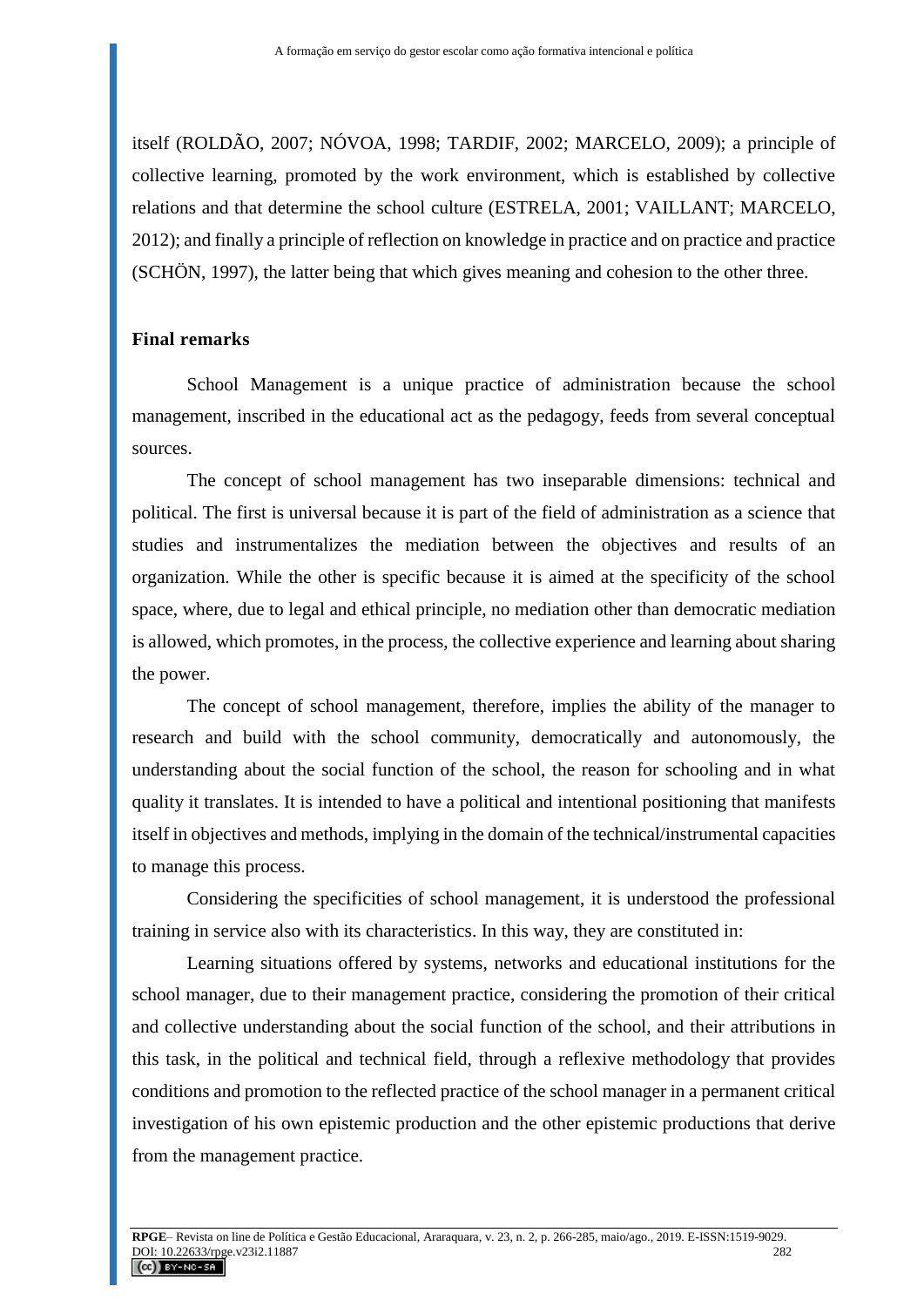itself (ROLDÃO, 2007; NÓVOA, 1998; TARDIF, 2002; MARCELO, 2009); a principle of collective learning, promoted by the work environment, which is established by collective relations and that determine the school culture (ESTRELA, 2001; VAILLANT; MARCELO, 2012); and finally a principle of reflection on knowledge in practice and on practice and practice (SCHÖN, 1997), the latter being that which gives meaning and cohesion to the other three.

#### **Final remarks**

School Management is a unique practice of administration because the school management, inscribed in the educational act as the pedagogy, feeds from several conceptual sources.

The concept of school management has two inseparable dimensions: technical and political. The first is universal because it is part of the field of administration as a science that studies and instrumentalizes the mediation between the objectives and results of an organization. While the other is specific because it is aimed at the specificity of the school space, where, due to legal and ethical principle, no mediation other than democratic mediation is allowed, which promotes, in the process, the collective experience and learning about sharing the power.

The concept of school management, therefore, implies the ability of the manager to research and build with the school community, democratically and autonomously, the understanding about the social function of the school, the reason for schooling and in what quality it translates. It is intended to have a political and intentional positioning that manifests itself in objectives and methods, implying in the domain of the technical/instrumental capacities to manage this process.

Considering the specificities of school management, it is understood the professional training in service also with its characteristics. In this way, they are constituted in:

Learning situations offered by systems, networks and educational institutions for the school manager, due to their management practice, considering the promotion of their critical and collective understanding about the social function of the school, and their attributions in this task, in the political and technical field, through a reflexive methodology that provides conditions and promotion to the reflected practice of the school manager in a permanent critical investigation of his own epistemic production and the other epistemic productions that derive from the management practice.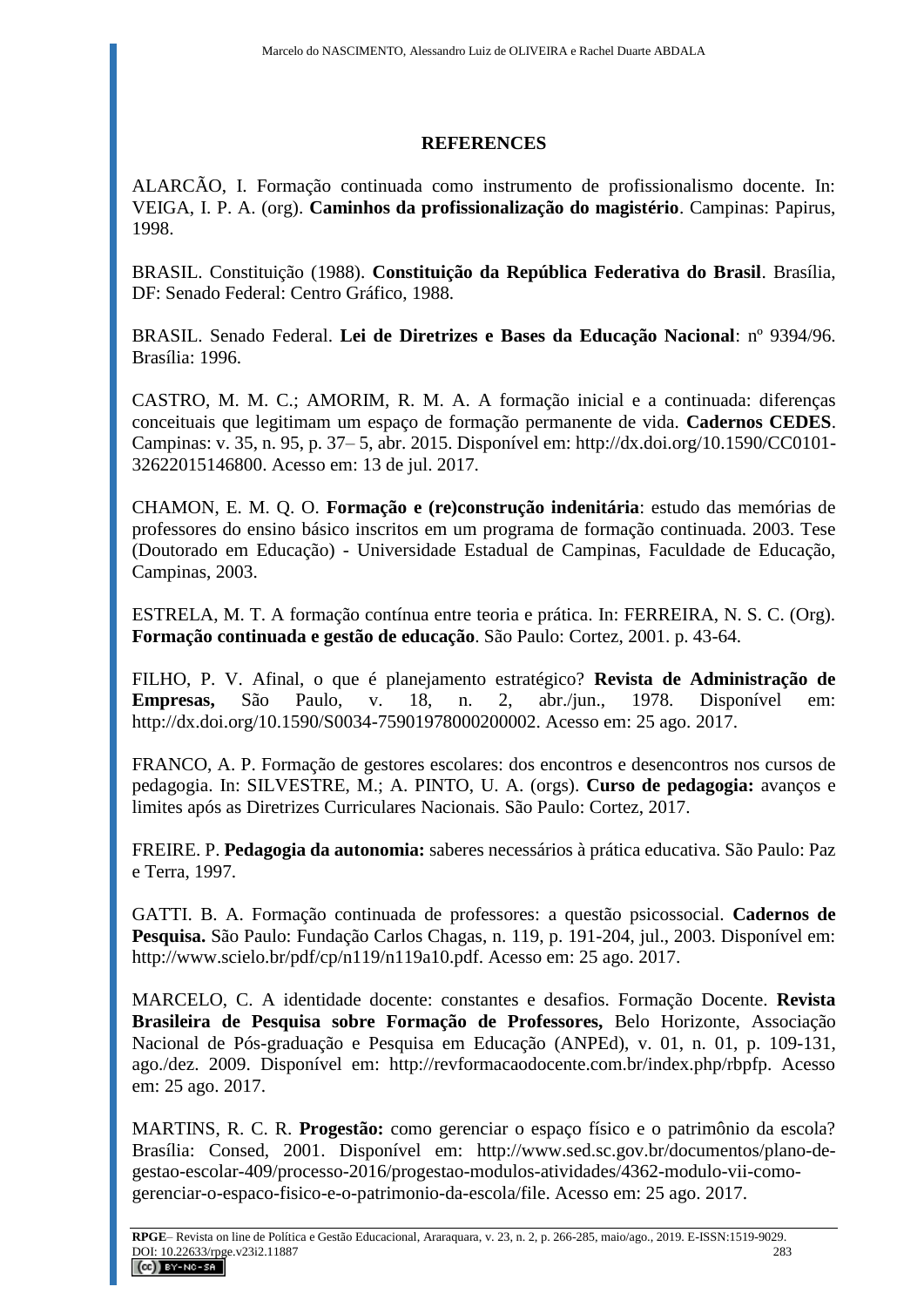## **REFERENCES**

ALARCÃO, I. Formação continuada como instrumento de profissionalismo docente. In: VEIGA, I. P. A. (org). **Caminhos da profissionalização do magistério**. Campinas: Papirus, 1998.

BRASIL. Constituição (1988). **Constituição da República Federativa do Brasil**. Brasília, DF: Senado Federal: Centro Gráfico, 1988.

BRASIL. Senado Federal. **Lei de Diretrizes e Bases da Educação Nacional**: nº 9394/96. Brasília: 1996.

CASTRO, M. M. C.; AMORIM, R. M. A. A formação inicial e a continuada: diferenças conceituais que legitimam um espaço de formação permanente de vida. **Cadernos CEDES**. Campinas: v. 35, n. 95, p. 37– 5, abr. 2015. Disponível em: [http://dx.doi.org/10.1590/CC0101-](http://dx.doi.org/10.1590/CC0101-32622015146800) [32622015146800.](http://dx.doi.org/10.1590/CC0101-32622015146800) Acesso em: 13 de jul. 2017.

CHAMON, E. M. Q. O. **Formação e (re)construção indenitária**: estudo das memórias de professores do ensino básico inscritos em um programa de formação continuada. 2003. Tese (Doutorado em Educação) - Universidade Estadual de Campinas, Faculdade de Educação, Campinas, 2003.

ESTRELA, M. T. A formação contínua entre teoria e prática. In: FERREIRA, N. S. C. (Org). **Formação continuada e gestão de educação**. São Paulo: Cortez, 2001. p. 43-64.

FILHO, P. V. Afinal, o que é planejamento estratégico? **Revista de Administração de Empresas,** São Paulo, v. 18, n. 2, abr./jun., 1978. Disponível em: [http://dx.doi.org/10.1590/S0034-75901978000200002.](http://dx.doi.org/10.1590/S0034-75901978000200002) Acesso em: 25 ago. 2017.

FRANCO, A. P. Formação de gestores escolares: dos encontros e desencontros nos cursos de pedagogia. In: SILVESTRE, M.; A. PINTO, U. A. (orgs). **Curso de pedagogia:** avanços e limites após as Diretrizes Curriculares Nacionais. São Paulo: Cortez, 2017.

FREIRE. P. **Pedagogia da autonomia:** saberes necessários à prática educativa. São Paulo: Paz e Terra, 1997.

GATTI. B. A. Formação continuada de professores: a questão psicossocial. **Cadernos de Pesquisa.** São Paulo: Fundação Carlos Chagas, n. 119, p. 191-204, jul., 2003. Disponível em: [http://www.scielo.br/pdf/cp/n119/n119a10.pdf.](http://www.scielo.br/pdf/cp/n119/n119a10.pdf) Acesso em: 25 ago. 2017.

MARCELO, C. A identidade docente: constantes e desafios. Formação Docente. **Revista Brasileira de Pesquisa sobre Formação de Professores,** Belo Horizonte, Associação Nacional de Pós-graduação e Pesquisa em Educação (ANPEd), v. 01, n. 01, p. 109-131, ago./dez. 2009. Disponível em: http://revformacaodocente.com.br/index.php/rbpfp. Acesso em: 25 ago. 2017.

MARTINS, R. C. R. **Progestão:** como gerenciar o espaço físico e o patrimônio da escola? Brasília: Consed, 2001. Disponível em: [http://www.sed.sc.gov.br/documentos/plano-de](http://www.sed.sc.gov.br/documentos/plano-de-gestao-escolar-409/processo-2016/progestao-modulos-atividades/4362-modulo-vii-como-gerenciar-o-espaco-fisico-e-o-patrimonio-da-escola/file)[gestao-escolar-409/processo-2016/progestao-modulos-atividades/4362-modulo-vii-como](http://www.sed.sc.gov.br/documentos/plano-de-gestao-escolar-409/processo-2016/progestao-modulos-atividades/4362-modulo-vii-como-gerenciar-o-espaco-fisico-e-o-patrimonio-da-escola/file)[gerenciar-o-espaco-fisico-e-o-patrimonio-da-escola/file.](http://www.sed.sc.gov.br/documentos/plano-de-gestao-escolar-409/processo-2016/progestao-modulos-atividades/4362-modulo-vii-como-gerenciar-o-espaco-fisico-e-o-patrimonio-da-escola/file) Acesso em: 25 ago. 2017.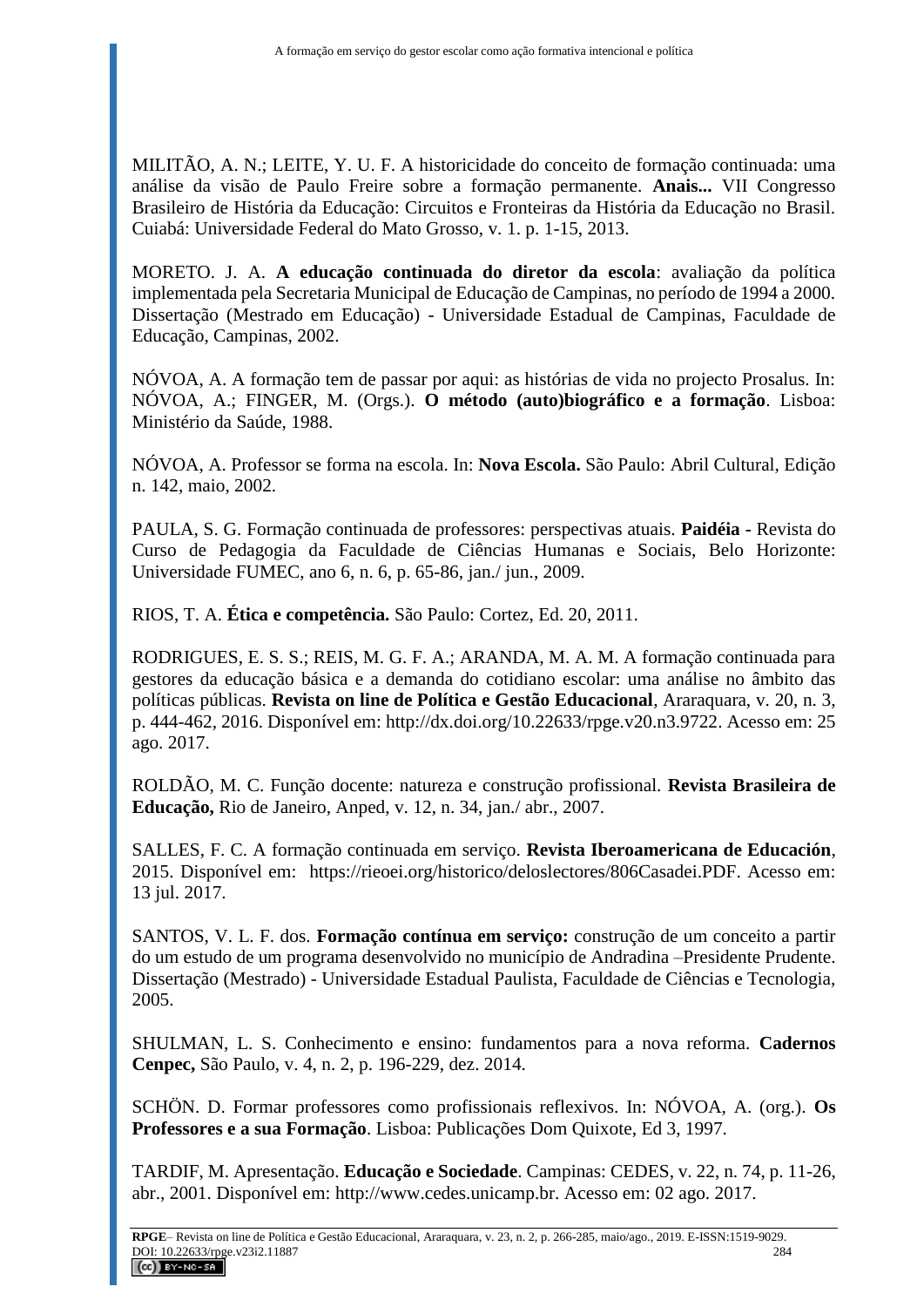MILITÃO, A. N.; LEITE, Y. U. F. A historicidade do conceito de formação continuada: uma análise da visão de Paulo Freire sobre a formação permanente. **Anais...** VII Congresso Brasileiro de História da Educação: Circuitos e Fronteiras da História da Educação no Brasil. Cuiabá: Universidade Federal do Mato Grosso, v. 1. p. 1-15, 2013.

MORETO. J. A. **A educação continuada do diretor da escola**: avaliação da política implementada pela Secretaria Municipal de Educação de Campinas, no período de 1994 a 2000. Dissertação (Mestrado em Educação) - Universidade Estadual de Campinas, Faculdade de Educação, Campinas, 2002.

NÓVOA, A. A formação tem de passar por aqui: as histórias de vida no projecto Prosalus. In: NÓVOA, A.; FINGER, M. (Orgs.). **O método (auto)biográfico e a formação**. Lisboa: Ministério da Saúde, 1988.

NÓVOA, A. Professor se forma na escola. In: **Nova Escola.** São Paulo: Abril Cultural, Edição n. 142, maio, 2002.

PAULA, S. G. Formação continuada de professores: perspectivas atuais. **Paidéia -** Revista do Curso de Pedagogia da Faculdade de Ciências Humanas e Sociais, Belo Horizonte: Universidade FUMEC, ano 6, n. 6, p. 65-86, jan./ jun., 2009.

RIOS, T. A. **Ética e competência.** São Paulo: Cortez, Ed. 20, 2011.

RODRIGUES, E. S. S.; REIS, M. G. F. A.; ARANDA, M. A. M. A formação continuada para gestores da educação básica e a demanda do cotidiano escolar: uma análise no âmbito das políticas públicas. **Revista on line de Política e Gestão Educacional**, Araraquara, v. 20, n. 3, p. 444-462, 2016. Disponível em: [http://dx.doi.org/10.22633/rpge.v20.n3.9722.](http://dx.doi.org/10.22633/rpge.v20.n3.9722) Acesso em: 25 ago. 2017.

ROLDÃO, M. C. Função docente: natureza e construção profissional. **Revista Brasileira de Educação,** Rio de Janeiro, Anped, v. 12, n. 34, jan./ abr., 2007.

SALLES, F. C. A formação continuada em serviço. **Revista Iberoamericana de Educación**, 2015. Disponível em: [https://rieoei.org/historico/deloslectores/806Casadei.PDF.](https://rieoei.org/historico/deloslectores/806Casadei.PDF) Acesso em: 13 jul. 2017.

SANTOS, V. L. F. dos. **Formação contínua em serviço:** construção de um conceito a partir do um estudo de um programa desenvolvido no município de Andradina –Presidente Prudente. Dissertação (Mestrado) - Universidade Estadual Paulista, Faculdade de Ciências e Tecnologia, 2005.

SHULMAN, L. S. Conhecimento e ensino: fundamentos para a nova reforma. **Cadernos Cenpec,** São Paulo, v. 4, n. 2, p. 196-229, dez. 2014.

SCHÖN. D. Formar professores como profissionais reflexivos. In: NÓVOA, A. (org.). **Os Professores e a sua Formação**. Lisboa: Publicações Dom Quixote, Ed 3, 1997.

TARDIF, M. Apresentação. **Educação e Sociedade**. Campinas: CEDES, v. 22, n. 74, p. 11-26, abr., 2001. Disponível em: [http://www.cedes.unicamp.br.](http://www.cedes.unicamp.br/) Acesso em: 02 ago. 2017.